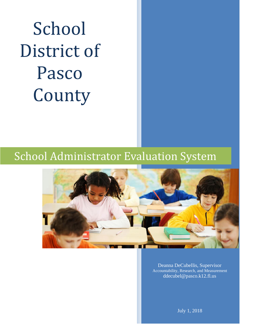# School District of Pasco County

## School Administrator Evaluation System



Deanna DeCubellis, Supervisor Accountability, Research, and Measurement ddecubel@pasco.k12.fl.us

July 1, 2018

 $\mathcal{L}$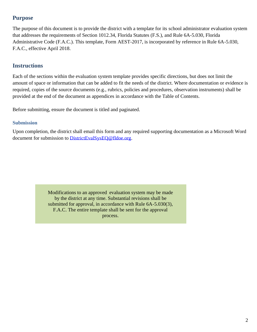### **Purpose**

The purpose of this document is to provide the district with a template for its school administrator evaluation system that addresses the requirements of Section 1012.34, Florida Statutes (F.S.), and Rule 6A-5.030, Florida Administrative Code (F.A.C.). This template, Form AEST-2017, is incorporated by reference in Rule 6A-5.030, F.A.C., effective April 2018.

### **Instructions**

Each of the sections within the evaluation system template provides specific directions, but does not limit the amount of space or information that can be added to fit the needs of the district. Where documentation or evidence is required, copies of the source documents (e.g., rubrics, policies and procedures, observation instruments) shall be provided at the end of the document as appendices in accordance with the Table of Contents.

Before submitting, ensure the document is titled and paginated.

### **Submission**

Upon completion, the district shall email this form and any required supporting documentation as a Microsoft Word document for submission to [DistrictEvalSysEQ@fldoe.org.](mailto:DistrictEvalSysEQ@fldoe.org)

> Modifications to an approved evaluation system may be made by the district at any time. Substantial revisions shall be submitted for approval, in accordance with Rule 6A-5.030(3), F.A.C. The entire template shall be sent for the approval process.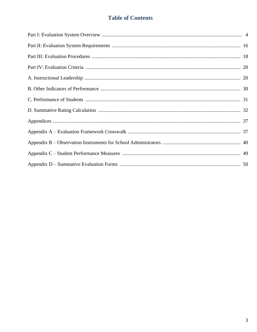### **Table of Contents**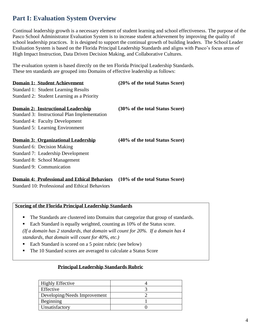### **Part I: Evaluation System Overview**

Continual leadership growth is a necessary element of student learning and school effectiveness. The purpose of the Pasco School Administrator Evaluation System is to increase student achievement by improving the quality of school leadership practices. It is designed to support the continual growth of building leaders. The School Leader Evaluation System is based on the Florida Principal Leadership Standards and aligns with Pasco's focus areas of High Impact Instruction, Data Driven Decision Making, and Collaborative Cultures.

The evaluation system is based directly on the ten Florida Principal Leadership Standards. These ten standards are grouped into Domains of effective leadership as follows:

| <b>Domain 1: Student Achievement</b>          | (20% of the total Status Score) |
|-----------------------------------------------|---------------------------------|
| <b>Standard 1: Student Learning Results</b>   |                                 |
| Standard 2: Student Learning as a Priority    |                                 |
| Domain 2: Instructional Leadership            | (30% of the total Status Score) |
| Standard 3: Instructional Plan Implementation |                                 |
| <b>Standard 4: Faculty Development</b>        |                                 |
| <b>Standard 5: Learning Environment</b>       |                                 |
| Domain 3: Organizational Leadership           | (40% of the total Status Score) |
| Standard 6: Decision Making                   |                                 |
| Standard 7: Leadership Development            |                                 |
| Standard 8: School Management                 |                                 |

Standard 9: Communication

### **Domain 4: Professional and Ethical Behaviors (10% of the total Status Score)**

Standard 10: Professional and Ethical Behaviors

### **Scoring of the Florida Principal Leadership Standards**

- The Standards are clustered into Domains that categorize that group of standards.
- Each Standard is equally weighted, counting as 10% of the Status score. *(If a domain has 2 standards, that domain will count for 20%. If a domain has 4 standards, that domain will count for 40%, etc.)*
- Each Standard is scored on a 5 point rubric (see below)
- The 10 Standard scores are averaged to calculate a Status Score

### **Principal Leadership Standards Rubric**

| <b>Highly Effective</b>      |  |
|------------------------------|--|
| <b>Effective</b>             |  |
| Developing/Needs Improvement |  |
| Beginning                    |  |
| Unsatisfactory               |  |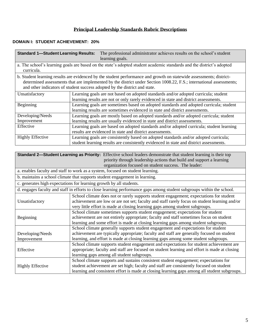### **Principal Leadership Standards Rubric Descriptions**

### **DOMAIN I: STUDENT ACHIEVEMENT: 20%**

| <b>Standard 1-Student Learning Results:</b>                                                                                                                                                                                                                                                                              | The professional administrator achieves results on the school's student<br>learning goals.                            |  |
|--------------------------------------------------------------------------------------------------------------------------------------------------------------------------------------------------------------------------------------------------------------------------------------------------------------------------|-----------------------------------------------------------------------------------------------------------------------|--|
| curricula.                                                                                                                                                                                                                                                                                                               | a. The school's learning goals are based on the state's adopted student academic standards and the district's adopted |  |
| b. Student learning results are evidenced by the student performance and growth on statewide assessments; district-<br>determined assessments that are implemented by the district under Section 1008.22, F.S.; international assessments;<br>and other indicators of student success adopted by the district and state. |                                                                                                                       |  |
| Unsatisfactory                                                                                                                                                                                                                                                                                                           | Learning goals are not based on adopted standards and/or adopted curricula; student                                   |  |
|                                                                                                                                                                                                                                                                                                                          | learning results are not or only rarely evidenced in state and district assessments.                                  |  |
| Beginning                                                                                                                                                                                                                                                                                                                | Learning goals are sometimes based on adopted standards and adopted curricula; student                                |  |
|                                                                                                                                                                                                                                                                                                                          | learning results are sometimes evidenced in state and district assessments.                                           |  |
| Developing/Needs                                                                                                                                                                                                                                                                                                         | Learning goals are mostly based on adopted standards and/or adopted curricula; student                                |  |
| Improvement                                                                                                                                                                                                                                                                                                              | learning results are usually evidenced in state and district assessments.                                             |  |
| Effective                                                                                                                                                                                                                                                                                                                | Learning goals are based on adopted standards and/or adopted curricula; student learning                              |  |
|                                                                                                                                                                                                                                                                                                                          | results are evidenced in state and district assessments.                                                              |  |
| <b>Highly Effective</b>                                                                                                                                                                                                                                                                                                  | Learning goals are consistently based on adopted standards and/or adopted curricula;                                  |  |
|                                                                                                                                                                                                                                                                                                                          | student learning results are consistently evidenced in state and district assessments.                                |  |

|                         | Standard 2—Student Learning as Priority: Effective school leaders demonstrate that student learning is their top      |
|-------------------------|-----------------------------------------------------------------------------------------------------------------------|
|                         | priority through leadership actions that build and support a learning                                                 |
|                         | organization focused on student success. The leader:                                                                  |
|                         | a. enables faculty and staff to work as a system, focused on student learning.                                        |
|                         | b. maintains a school climate that supports student engagement in learning.                                           |
|                         | c. generates high expectations for learning growth by all students.                                                   |
|                         | d. engages faculty and staff in efforts to close learning performance gaps among student subgroups within the school. |
|                         | School climate does not or rarely supports student engagement; expectations for student                               |
| Unsatisfactory          | achievement are low or are not set; faculty and staff rarely focus on student learning and/or                         |
|                         | very little effort is made at closing learning gaps among student subgroups.                                          |
|                         | School climate sometimes supports student engagement; expectations for student                                        |
| Beginning               | achievement are not entirely appropriate; faculty and staff sometimes focus on student                                |
|                         | learning and some effort is made at closing learning gaps among student subgroups.                                    |
|                         | School climate generally supports student engagement and expectations for student                                     |
| Developing/Needs        | achievement are typically appropriate; faculty and staff are generally focused on student                             |
| Improvement             | learning, and effort is made at closing learning gaps among some student subgroups.                                   |
|                         | School climate supports student engagement and expectations for student achievement are                               |
| Effective               | appropriate; faculty and staff are focused on student learning and effort is made at closing                          |
|                         | learning gaps among all student subgroups.                                                                            |
|                         | School climate supports and sustains consistent student engagement; expectations for                                  |
| <b>Highly Effective</b> | student achievement are set high; faculty and staff are consistently focused on student                               |
|                         | learning and consistent effort is made at closing learning gaps among all student subgroups.                          |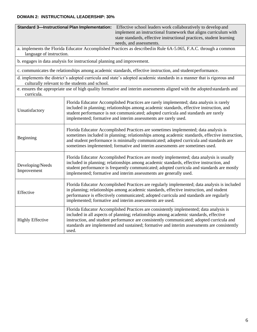#### **DOMAIN 2: INSTRUCTIONAL LEADERSHIP: 30%**

|                                 | <b>Standard 3-Instructional Plan Implementation:</b><br>Effective school leaders work collaboratively to develop and<br>implement an instructional framework that aligns curriculum with<br>state standards, effective instructional practices, student learning<br>needs, and assessments.                                                                                           |  |  |
|---------------------------------|---------------------------------------------------------------------------------------------------------------------------------------------------------------------------------------------------------------------------------------------------------------------------------------------------------------------------------------------------------------------------------------|--|--|
| language of instruction.        | a. implements the Florida Educator Accomplished Practices as described in Rule 6A-5.065, F.A.C. through a common                                                                                                                                                                                                                                                                      |  |  |
|                                 | b. engages in data analysis for instructional planning and improvement.                                                                                                                                                                                                                                                                                                               |  |  |
|                                 | c. communicates the relationships among academic standards, effective instruction, and student performance.                                                                                                                                                                                                                                                                           |  |  |
|                                 | d. implements the district's adopted curricula and state's adopted academic standards in a manner that is rigorous and<br>culturally relevant to the students and school.                                                                                                                                                                                                             |  |  |
| curricula.                      | e. ensures the appropriate use of high quality formative and interim assessments aligned with the adopted standards and                                                                                                                                                                                                                                                               |  |  |
| Unsatisfactory                  | Florida Educator Accomplished Practices are rarely implemented; data analysis is rarely<br>included in planning; relationships among academic standards, effective instruction, and<br>student performance is not communicated; adopted curricula and standards are rarely<br>implemented; formative and interim assessments are rarely used.                                         |  |  |
| Beginning                       | Florida Educator Accomplished Practices are sometimes implemented; data analysis is<br>sometimes included in planning; relationships among academic standards, effective instruction,<br>and student performance is minimally communicated; adopted curricula and standards are<br>sometimes implemented; formative and interim assessments are sometimes used.                       |  |  |
| Developing/Needs<br>Improvement | Florida Educator Accomplished Practices are mostly implemented; data analysis is usually<br>included in planning; relationships among academic standards, effective instruction, and<br>student performance is frequently communicated; adopted curricula and standards are mostly<br>implemented; formative and interim assessments are generally used.                              |  |  |
| Effective                       | Florida Educator Accomplished Practices are regularly implemented; data analysis is included<br>in planning; relationships among academic standards, effective instruction, and student<br>performance is effectively communicated; adopted curricula and standards are regularly<br>implemented; formative and interim assessments are used.                                         |  |  |
| <b>Highly Effective</b>         | Florida Educator Accomplished Practices are consistently implemented; data analysis is<br>included in all aspects of planning; relationships among academic standards, effective<br>instruction, and student performance are consistently communicated; adopted curricula and<br>standards are implemented and sustained; formative and interim assessments are consistently<br>used. |  |  |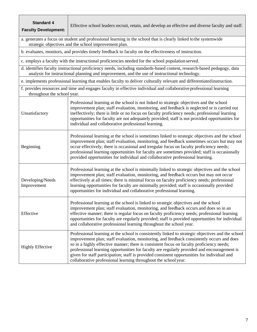| <b>Standard 4</b><br><b>Faculty Development:</b> | Effective school leaders recruit, retain, and develop an effective and diverse faculty and staff.                                                                                                                                                                                                                                                                                                                                                                                                                                                            |
|--------------------------------------------------|--------------------------------------------------------------------------------------------------------------------------------------------------------------------------------------------------------------------------------------------------------------------------------------------------------------------------------------------------------------------------------------------------------------------------------------------------------------------------------------------------------------------------------------------------------------|
|                                                  | a. generates a focus on student and professional learning in the school that is clearly linked to the systemwide<br>strategic objectives and the school improvement plan.                                                                                                                                                                                                                                                                                                                                                                                    |
|                                                  | b. evaluates, monitors, and provides timely feedback to faculty on the effectiveness of instruction.                                                                                                                                                                                                                                                                                                                                                                                                                                                         |
|                                                  | c. employs a faculty with the instructional proficiencies needed for the school population served.                                                                                                                                                                                                                                                                                                                                                                                                                                                           |
|                                                  | d. identifies faculty instructional proficiency needs, including standards-based content, research-based pedagogy, data<br>analysis for instructional planning and improvement, and the use of instructional technology.                                                                                                                                                                                                                                                                                                                                     |
|                                                  | e. implements professional learning that enables faculty to deliver culturally relevant and differentiated instruction.                                                                                                                                                                                                                                                                                                                                                                                                                                      |
| throughout the school year.                      | f. provides resources and time and engages faculty in effective individual and collaborative professional learning                                                                                                                                                                                                                                                                                                                                                                                                                                           |
| Unsatisfactory                                   | Professional learning at the school is not linked to strategic objectives and the school<br>improvement plan; staff evaluation, monitoring, and feedback is neglected or is carried out<br>ineffectively; there is little or no focus on faculty proficiency needs; professional learning<br>opportunities for faculty are not adequately provided; staff is not provided opportunities for<br>individual and collaborative professional learning.                                                                                                           |
| Beginning                                        | Professional learning at the school is sometimes linked to strategic objectives and the school<br>improvement plan; staff evaluation, monitoring, and feedback sometimes occurs but may not<br>occur effectively; there is occasional and irregular focus on faculty proficiency needs;<br>professional learning opportunities for faculty are sometimes provided; staff is occasionally<br>provided opportunities for individual and collaborative professional learning.                                                                                   |
| Developing/Needs<br>Improvement                  | Professional learning at the school is minimally linked to strategic objectives and the school<br>improvement plan; staff evaluation, monitoring, and feedback occurs but may not occur<br>effectively at all times; there is minimal focus on faculty proficiency needs; professional<br>learning opportunities for faculty are minimally provided; staff is occasionally provided<br>opportunities for individual and collaborative professional learning.                                                                                                 |
| Effective                                        | Professional learning at the school is linked to strategic objectives and the school<br>improvement plan; staff evaluation, monitoring, and feedback occurs and does so in an<br>effective manner; there is regular focus on faculty proficiency needs; professional learning<br>opportunities for faculty are regularly provided; staff is provided opportunities for individual<br>and collaborative professional learning throughout the school year.                                                                                                     |
| <b>Highly Effective</b>                          | Professional learning at the school is consistently linked to strategic objectives and the school<br>improvement plan; staff evaluation, monitoring, and feedback consistently occurs and does<br>so in a highly effective manner; there is consistent focus on faculty proficiency needs;<br>professional learning opportunities for faculty are regularly provided and encouragement is<br>given for staff participation; staff is provided consistent opportunities for individual and<br>collaborative professional learning throughout the school year. |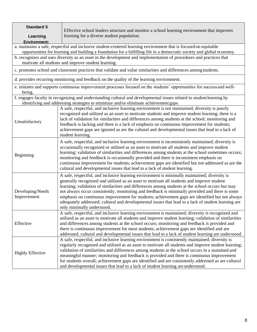| <b>Standard 5</b><br>Learning   | Effective school leaders structure and monitor a school learning environment that improves<br>learning for a diverse student population.                                                                                                                                                                                                                                                                                                                                                                                                                                                                                                 |
|---------------------------------|------------------------------------------------------------------------------------------------------------------------------------------------------------------------------------------------------------------------------------------------------------------------------------------------------------------------------------------------------------------------------------------------------------------------------------------------------------------------------------------------------------------------------------------------------------------------------------------------------------------------------------------|
| <b>Environment:</b>             |                                                                                                                                                                                                                                                                                                                                                                                                                                                                                                                                                                                                                                          |
|                                 | a. maintains a safe, respectful and inclusive student-centered learning environment that is focused on equitable                                                                                                                                                                                                                                                                                                                                                                                                                                                                                                                         |
|                                 | opportunities for learning and building a foundation for a fulfilling life in a democratic society and global economy.                                                                                                                                                                                                                                                                                                                                                                                                                                                                                                                   |
|                                 | b. recognizes and uses diversity as an asset in the development and implementation of procedures and practices that<br>motivate all students and improve student learning.                                                                                                                                                                                                                                                                                                                                                                                                                                                               |
|                                 | c. promotes school and classroom practices that validate and value similarities and differences among students.                                                                                                                                                                                                                                                                                                                                                                                                                                                                                                                          |
|                                 | d. provides recurring monitoring and feedback on the quality of the learning environment.                                                                                                                                                                                                                                                                                                                                                                                                                                                                                                                                                |
| being.                          | e. initiates and supports continuous improvement processes focused on the students' opportunities for success and well-                                                                                                                                                                                                                                                                                                                                                                                                                                                                                                                  |
|                                 | f. engages faculty in recognizing and understanding cultural and developmental issues related to student learning by<br>identifying and addressing strategies to minimize and/or eliminate achievement gaps.                                                                                                                                                                                                                                                                                                                                                                                                                             |
| Unsatisfactory                  | A safe, respectful, and inclusive learning environment is not maintained; diversity is poorly<br>recognized and utilized as an asset to motivate students and improve student learning; there is a<br>lack of validation for similarities and differences among students at the school; monitoring and<br>feedback is lacking and there is a lack of emphasis on continuous improvement for students;<br>achievement gaps are ignored as are the cultural and developmental issues that lead to a lack of<br>student learning.                                                                                                           |
| Beginning                       | A safe, respectful, and inclusive learning environment is inconsistently maintained; diversity is<br>occasionally recognized or utilized as an asset to motivate all students and improve student<br>learning; validation of similarities and differences among students at the school sometimes occurs;<br>monitoring and feedback is occasionally provided and there is inconsistent emphasis on<br>continuous improvement for students; achievement gaps are identified but not addressed as are the<br>cultural and developmental issues that lead to a lack of student learning.                                                    |
| Developing/Needs<br>Improvement | A safe, respectful, and inclusive learning environment is minimally maintained; diversity is<br>generally recognized and utilized as an asset to motivate all students and improve student<br>learning; validation of similarities and differences among students at the school occurs but may<br>not always occur consistently; monitoring and feedback is minimally provided and there is some<br>emphasis on continuous improvement for students; achievement gaps are identified but not always<br>adequately addressed; cultural and developmental issues that lead to a lack of student learning are<br>only minimally understood. |
| Effective                       | A safe, respectful, and inclusive learning environment is maintained; diversity is recognized and<br>utilized as an asset to motivate all students and improve student learning; validation of similarities<br>and differences among students at the school occurs; monitoring and feedback is provided and<br>there is continuous improvement for most students; achievement gaps are identified and are<br>addressed; cultural and developmental issues that lead to a lack of student learning are understood.                                                                                                                        |
| <b>Highly Effective</b>         | A safe, respectful, and inclusive learning environment is consistently maintained; diversity is<br>regularly recognized and utilized as an asset to motivate all students and improve student learning;<br>validation of similarities and differences among students at the school occurs in a sustained and<br>meaningful manner; monitoring and feedback is provided and there is continuous improvement<br>for students overall; achievement gaps are identified and are consistently addressed as are cultural<br>and developmental issues that lead to a lack of student learning are understood.                                   |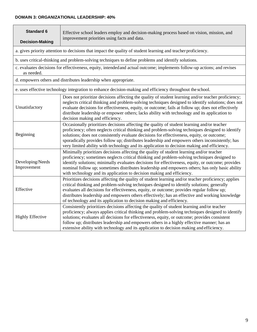#### **DOMAIN 3: ORGANIZATIONAL LEADERSHIP: 40%**

| <b>Standard 6</b><br><b>Decision-Making</b> | Effective school leaders employ and decision-making process based on vision, mission, and<br>improvement priorities using facts and data.                                                                                                                                                                                                                                                                                                                                                        |
|---------------------------------------------|--------------------------------------------------------------------------------------------------------------------------------------------------------------------------------------------------------------------------------------------------------------------------------------------------------------------------------------------------------------------------------------------------------------------------------------------------------------------------------------------------|
|                                             | a. gives priority attention to decisions that impact the quality of student learning and teacher proficiency.                                                                                                                                                                                                                                                                                                                                                                                    |
|                                             | b. uses critical-thinking and problem-solving techniques to define problems and identify solutions.                                                                                                                                                                                                                                                                                                                                                                                              |
| as needed.                                  | c. evaluates decisions for effectiveness, equity, intended and actual outcome; implements follow-up actions; and revises                                                                                                                                                                                                                                                                                                                                                                         |
|                                             | d. empowers others and distributes leadership when appropriate.                                                                                                                                                                                                                                                                                                                                                                                                                                  |
|                                             | e. uses effective technology integration to enhance decision-making and efficiency throughout the school.                                                                                                                                                                                                                                                                                                                                                                                        |
| Unsatisfactory                              | Does not prioritize decisions affecting the quality of student learning and/or teacher proficiency;<br>neglects critical thinking and problem-solving techniques designed to identify solutions; does not<br>evaluate decisions for effectiveness, equity, or outcome; fails at follow up; does not effectively<br>distribute leadership or empower others; lacks ability with technology and its application to<br>decision making and efficiency.                                              |
| Beginning                                   | Occasionally prioritizes decisions affecting the quality of student learning and/or teacher<br>proficiency; often neglects critical thinking and problem-solving techniques designed to identify<br>solutions; does not consistently evaluate decisions for effectiveness, equity, or outcome;<br>sporadically provides follow up; distributes leadership and empowers others inconsistently; has<br>very limited ability with technology and its application to decision making and efficiency. |
| Developing/Needs<br>Improvement             | Minimally prioritizes decisions affecting the quality of student learning and/or teacher<br>proficiency; sometimes neglects critical thinking and problem-solving techniques designed to<br>identify solutions; minimally evaluates decisions for effectiveness, equity, or outcome; provides<br>nominal follow up; sometimes distributes leadership and empowers others; has only basic ability<br>with technology and its application to decision making and efficiency.                       |
| Effective                                   | Prioritizes decisions affecting the quality of student learning and/or teacher proficiency; applies<br>critical thinking and problem-solving techniques designed to identify solutions; generally<br>evaluates all decisions for effectiveness, equity, or outcome; provides regular follow up;<br>distributes leadership and empowers others effectively; has an effective and working knowledge<br>of technology and its application to decision making and efficiency.                        |
| <b>Highly Effective</b>                     | Consistently prioritizes decisions affecting the quality of student learning and/or teacher<br>proficiency; always applies critical thinking and problem-solving techniques designed to identify<br>solutions; evaluates all decisions for effectiveness, equity, or outcome; provides consistent<br>follow up; distributes leadership and empowers others in a highly effective manner; has an<br>extensive ability with technology and its application to decision making and efficiency.      |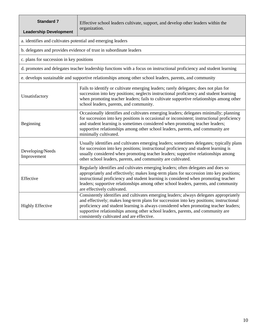| <b>Standard 7</b><br><b>Leadership Development</b>          | Effective school leaders cultivate, support, and develop other leaders within the<br>organization.                                                                                                                                                                                                                                                                                                           |
|-------------------------------------------------------------|--------------------------------------------------------------------------------------------------------------------------------------------------------------------------------------------------------------------------------------------------------------------------------------------------------------------------------------------------------------------------------------------------------------|
| a. identifies and cultivates potential and emerging leaders |                                                                                                                                                                                                                                                                                                                                                                                                              |
|                                                             | b. delegates and provides evidence of trust in subordinate leaders                                                                                                                                                                                                                                                                                                                                           |
| c. plans for succession in key positions                    |                                                                                                                                                                                                                                                                                                                                                                                                              |
|                                                             | d. promotes and delegates teacher leadership functions with a focus on instructional proficiency and student learning                                                                                                                                                                                                                                                                                        |
|                                                             | e. develops sustainable and supportive relationships among other school leaders, parents, and community                                                                                                                                                                                                                                                                                                      |
| Unsatisfactory                                              | Fails to identify or cultivate emerging leaders; rarely delegates; does not plan for<br>succession into key positions; neglects instructional proficiency and student learning<br>when promoting teacher leaders; fails to cultivate supportive relationships among other<br>school leaders, parents, and community.                                                                                         |
| Beginning                                                   | Occasionally identifies and cultivates emerging leaders; delegates minimally; planning<br>for succession into key positions is occasional or inconsistent; instructional proficiency<br>and student learning is sometimes considered when promoting teacher leaders;<br>supportive relationships among other school leaders, parents, and community are<br>minimally cultivated.                             |
| Developing/Needs<br>Improvement                             | Usually identifies and cultivates emerging leaders; sometimes delegates; typically plans<br>for succession into key positions; instructional proficiency and student learning is<br>usually considered when promoting teacher leaders; supportive relationships among<br>other school leaders, parents, and community are cultivated.                                                                        |
| Effective                                                   | Regularly identifies and cultivates emerging leaders; often delegates and does so<br>appropriately and effectively; makes long-term plans for succession into key positions;<br>instructional proficiency and student learning is considered when promoting teacher<br>leaders; supportive relationships among other school leaders, parents, and community<br>are effectively cultivated.                   |
| <b>Highly Effective</b>                                     | Consistently identifies and cultivates emerging leaders; always delegates appropriately<br>and effectively; makes long-term plans for succession into key positions; instructional<br>proficiency and student learning is always considered when promoting teacher leaders;<br>supportive relationships among other school leaders, parents, and community are<br>consistently cultivated and are effective. |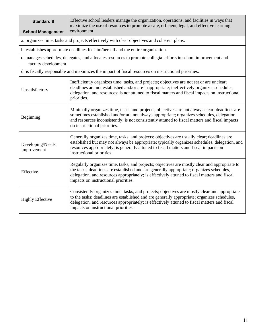| <b>Standard 8</b><br><b>School Management</b> | Effective school leaders manage the organization, operations, and facilities in ways that<br>maximize the use of resources to promote a safe, efficient, legal, and effective learning<br>environment                                                                                                                                |
|-----------------------------------------------|--------------------------------------------------------------------------------------------------------------------------------------------------------------------------------------------------------------------------------------------------------------------------------------------------------------------------------------|
|                                               | a. organizes time, tasks and projects effectively with clear objectives and coherent plans.                                                                                                                                                                                                                                          |
|                                               | b. establishes appropriate deadlines for him/herself and the entire organization.                                                                                                                                                                                                                                                    |
| faculty development.                          | c. manages schedules, delegates, and allocates resources to promote collegial efforts in school improvement and                                                                                                                                                                                                                      |
|                                               | d. is fiscally responsible and maximizes the impact of fiscal resources on instructional priorities.                                                                                                                                                                                                                                 |
| Unsatisfactory                                | Inefficiently organizes time, tasks, and projects; objectives are not set or are unclear;<br>deadlines are not established and/or are inappropriate; ineffectively organizes schedules,<br>delegation, and resources; is not attuned to fiscal matters and fiscal impacts on instructional<br>priorities.                            |
| Beginning                                     | Minimally organizes time, tasks, and projects; objectives are not always clear; deadlines are<br>sometimes established and/or are not always appropriate; organizes schedules, delegation,<br>and resources inconsistently; is not consistently attuned to fiscal matters and fiscal impacts<br>on instructional priorities.         |
| Developing/Needs<br>Improvement               | Generally organizes time, tasks, and projects; objectives are usually clear; deadlines are<br>established but may not always be appropriate; typically organizes schedules, delegation, and<br>resources appropriately; is generally attuned to fiscal matters and fiscal impacts on<br>instructional priorities.                    |
| Effective                                     | Regularly organizes time, tasks, and projects; objectives are mostly clear and appropriate to<br>the tasks; deadlines are established and are generally appropriate; organizes schedules,<br>delegation, and resources appropriately; is effectively attuned to fiscal matters and fiscal<br>impacts on instructional priorities.    |
| <b>Highly Effective</b>                       | Consistently organizes time, tasks, and projects; objectives are mostly clear and appropriate<br>to the tasks; deadlines are established and are generally appropriate; organizes schedules,<br>delegation, and resources appropriately; is effectively attuned to fiscal matters and fiscal<br>impacts on instructional priorities. |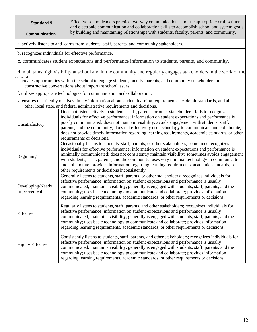| <b>Standard 9</b><br><b>Communication</b>                                                                                                                                                                                                                                                                                                                                                                                                                                                       |  | Effective school leaders practice two-way communications and use appropriate oral, written,<br>and electronic communication and collaboration skills to accomplish school and system goals<br>by building and maintaining relationships with students, faculty, parents, and community.                                                                                                                                                                                                                                                               |
|-------------------------------------------------------------------------------------------------------------------------------------------------------------------------------------------------------------------------------------------------------------------------------------------------------------------------------------------------------------------------------------------------------------------------------------------------------------------------------------------------|--|-------------------------------------------------------------------------------------------------------------------------------------------------------------------------------------------------------------------------------------------------------------------------------------------------------------------------------------------------------------------------------------------------------------------------------------------------------------------------------------------------------------------------------------------------------|
|                                                                                                                                                                                                                                                                                                                                                                                                                                                                                                 |  | a. actively listens to and learns from students, staff, parents, and community stakeholders.                                                                                                                                                                                                                                                                                                                                                                                                                                                          |
|                                                                                                                                                                                                                                                                                                                                                                                                                                                                                                 |  | b. recognizes individuals for effective performance.                                                                                                                                                                                                                                                                                                                                                                                                                                                                                                  |
|                                                                                                                                                                                                                                                                                                                                                                                                                                                                                                 |  | c. communicates student expectations and performance information to students, parents, and community.                                                                                                                                                                                                                                                                                                                                                                                                                                                 |
|                                                                                                                                                                                                                                                                                                                                                                                                                                                                                                 |  | d. maintains high visibility at school and in the community and regularly engages stakeholders in the work of the                                                                                                                                                                                                                                                                                                                                                                                                                                     |
|                                                                                                                                                                                                                                                                                                                                                                                                                                                                                                 |  | e. creates opportunities within the school to engage students, faculty, parents, and community stakeholders in<br>constructive conversations about important school issues.                                                                                                                                                                                                                                                                                                                                                                           |
|                                                                                                                                                                                                                                                                                                                                                                                                                                                                                                 |  | f. utilizes appropriate technologies for communication and collaboration.                                                                                                                                                                                                                                                                                                                                                                                                                                                                             |
|                                                                                                                                                                                                                                                                                                                                                                                                                                                                                                 |  | g. ensures that faculty receives timely information about student learning requirements, academic standards, and all<br>other local state, and federal administrative requirements and decisions.                                                                                                                                                                                                                                                                                                                                                     |
| Unsatisfactory                                                                                                                                                                                                                                                                                                                                                                                                                                                                                  |  | Does not listen actively to students, staff, parents, or other stakeholders; fails to recognize<br>individuals for effective performance; information on student expectations and performance is<br>poorly communicated; does not maintain visibility; avoids engagement with students, staff,<br>parents, and the community; does not effectively use technology to communicate and collaborate;<br>does not provide timely information regarding learning requirements, academic standards, or other<br>requirements or decisions.                  |
| Beginning                                                                                                                                                                                                                                                                                                                                                                                                                                                                                       |  | Occasionally listens to students, staff, parents, or other stakeholders; sometimes recognizes<br>individuals for effective performance; information on student expectations and performance is<br>minimally communicated; does not consistently maintain visibility; sometimes avoids engagement<br>with students, staff, parents, and the community; uses very minimal technology to communicate<br>and collaborate; provides information regarding learning requirements, academic standards, or<br>other requirements or decisions inconsistently. |
| Developing/Needs<br>Improvement                                                                                                                                                                                                                                                                                                                                                                                                                                                                 |  | Generally listens to students, staff, parents, or other stakeholders; recognizes individuals for<br>effective performance; information on student expectations and performance is usually<br>communicated; maintains visibility; generally is engaged with students, staff, parents, and the<br>community; uses basic technology to communicate and collaborate; provides information<br>regarding learning requirements, academic standards, or other requirements or decisions.                                                                     |
| Regularly listens to students, staff, parents, and other stakeholders; recognizes individuals for<br>effective performance; information on student expectations and performance is usually<br>Effective<br>communicated; maintains visibility; generally is engaged with students, staff, parents, and the<br>community; uses basic technology to communicate and collaborate; provides information<br>regarding learning requirements, academic standards, or other requirements or decisions. |  |                                                                                                                                                                                                                                                                                                                                                                                                                                                                                                                                                       |
| <b>Highly Effective</b>                                                                                                                                                                                                                                                                                                                                                                                                                                                                         |  | Consistently listens to students, staff, parents, and other stakeholders; recognizes individuals for<br>effective performance; information on student expectations and performance is usually<br>communicated; maintains visibility; generally is engaged with students, staff, parents, and the<br>community; uses basic technology to communicate and collaborate; provides information<br>regarding learning requirements, academic standards, or other requirements or decisions.                                                                 |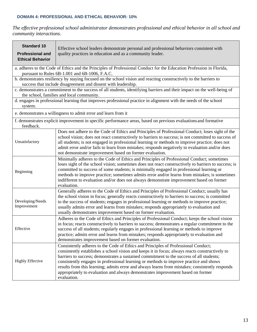#### **DOMAIN 4: PROFESSIONAL AND ETHICAL BEHAVIOR: 10%**

*The effective professional school administrator demonstrates professional and ethical behavior in all school and community interactions.*

| <b>Standard 10</b><br><b>Professional and</b><br><b>Ethical Behavior</b> | Effective school leaders demonstrate personal and professional behaviors consistent with<br>quality practices in education and as a community leader.                                                                                                                                                                                                                                                                                                                                                                                                                            |
|--------------------------------------------------------------------------|----------------------------------------------------------------------------------------------------------------------------------------------------------------------------------------------------------------------------------------------------------------------------------------------------------------------------------------------------------------------------------------------------------------------------------------------------------------------------------------------------------------------------------------------------------------------------------|
|                                                                          | a. adheres to the Code of Ethics and the Principles of Professional Conduct for the Education Profession in Florida,<br>pursuant to Rules 6B-1.001 and 6B-1006, F.A.C.                                                                                                                                                                                                                                                                                                                                                                                                           |
|                                                                          | b. demonstrates resiliency by staying focused on the school vision and reacting constructively to the barriers to<br>success that include disagreement and dissent with leadership.                                                                                                                                                                                                                                                                                                                                                                                              |
|                                                                          | c. demonstrates a commitment to the success of all students, identifying barriers and their impact on the well-being of<br>the school, families and local community.                                                                                                                                                                                                                                                                                                                                                                                                             |
| system.                                                                  | d. engages in professional learning that improves professional practice in alignment with the needs of the school                                                                                                                                                                                                                                                                                                                                                                                                                                                                |
|                                                                          | e. demonstrates a willingness to admit error and learn from it                                                                                                                                                                                                                                                                                                                                                                                                                                                                                                                   |
| feedback.                                                                | f. demonstrates explicit improvement in specific performance areas, based on previous evaluations and formative                                                                                                                                                                                                                                                                                                                                                                                                                                                                  |
| Unsatisfactory                                                           | Does not adhere to the Code of Ethics and Principles of Professional Conduct; loses sight of the<br>school vision; does not react constructively to barriers to success; is not committed to success of<br>all students; is not engaged in professional learning or methods to improve practice; does not<br>admit error and/or fails to learn from mistakes; responds negatively to evaluation and/or does<br>not demonstrate improvement based on former evaluation.                                                                                                           |
| Beginning                                                                | Minimally adheres to the Code of Ethics and Principles of Professional Conduct; sometimes<br>loses sight of the school vision; sometimes does not react constructively to barriers to success; is<br>committed to success of some students; is minimally engaged in professional learning or<br>methods to improve practice; sometimes admits error and/or learns from mistakes; is sometimes<br>indifferent to evaluation and/or does not always demonstrate improvement based on former<br>evaluation.                                                                         |
| Developing/Needs<br>Improvement                                          | Generally adheres to the Code of Ethics and Principles of Professional Conduct; usually has<br>the school vision in focus; generally reacts constructively to barriers to success; is committed<br>to the success of students; engages in professional learning or methods to improve practice;<br>usually admits error and learns from mistakes; responds appropriately to evaluation and<br>usually demonstrates improvement based on former evaluation.                                                                                                                       |
| Effective                                                                | Adheres to the Code of Ethics and Principles of Professional Conduct; keeps the school vision<br>in focus; reacts constructively to barriers to success; demonstrates a regular commitment to the<br>success of all students; regularly engages in professional learning or methods to improve<br>practice; admits error and learns from mistakes; responds appropriately to evaluation and<br>demonstrates improvement based on former evaluation.                                                                                                                              |
| <b>Highly Effective</b>                                                  | Consistently adheres to the Code of Ethics and Principles of Professional Conduct;<br>consistently establishes a school vision and keeps it in focus; always reacts constructively to<br>barriers to success; demonstrates a sustained commitment to the success of all students;<br>consistently engages in professional learning or methods to improve practice and shows<br>results from this learning; admits error and always learns from mistakes; consistently responds<br>appropriately to evaluation and always demonstrates improvement based on former<br>evaluation. |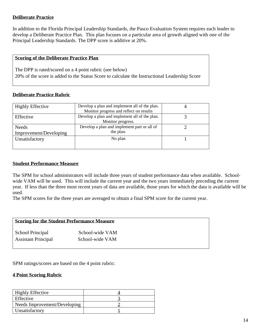### **Deliberate Practice**

In addition to the Florida Principal Leadership Standards, the Pasco Evaluation System requires each leader to develop a Deliberate Practice Plan. This plan focuses on a particular area of growth aligned with one of the Principal Leadership Standards. The DPP score is additive at 20%.

#### **Scoring of the Deliberate Practice Plan**

The DPP is rated/scored on a 4 point rubric (see below) 20% of the score is added to the Status Score to calculate the Instructional Leadership Score

### **Deliberate Practice Rubric**

| <b>Highly Effective</b> | Develop a plan and implement all of the plan. |  |
|-------------------------|-----------------------------------------------|--|
|                         | Monitor progress and reflect on results       |  |
| Effective               | Develop a plan and implement all of the plan. |  |
|                         | Monitor progress.                             |  |
| <b>Needs</b>            | Develop a plan and implement part or all of   |  |
| Improvement/Developing  | the plan.                                     |  |
| Unsatisfactory          | No plan                                       |  |
|                         |                                               |  |
|                         |                                               |  |

#### **Student Performance Measure**

The SPM for school administrators will include three years of student performance data when available. Schoolwide VAM will be used. This will include the current year and the two years immediately preceding the current year. If less than the three most recent years of data are available, those years for which the data is available will be used.

The SPM scores for the three years are averaged to obtain a final SPM score for the current year.

### **Scoring for the Student Performance Measure** School Principal School-wide VAM Assistant Principal School-wide VAM

SPM ratings/scores are based on the 4 point rubric:

### **4 Point Scoring Rubric**

| <b>Highly Effective</b>      |  |
|------------------------------|--|
| Effective                    |  |
| Needs Improvement/Developing |  |
| Unsatisfactory               |  |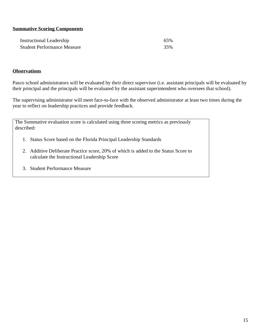### **Summative Scoring Components**

| <b>Instructional Leadership</b>    | 65% |
|------------------------------------|-----|
| <b>Student Performance Measure</b> | 35% |

#### **Observations**

Pasco school administrators will be evaluated by their direct supervisor (i.e. assistant principals will be evaluated by their principal and the principals will be evaluated by the assistant superintendent who oversees that school).

The supervising administrator will meet face-to-face with the observed administrator at least two times during the year to reflect on leadership practices and provide feedback.

The Summative evaluation score is calculated using three scoring metrics as previously described:

- 1. Status Score based on the Florida Principal Leadership Standards
- 2. Additive Deliberate Practice score, 20% of which is added to the Status Score to calculate the Instructional Leadership Score
- 3. Student Performance Measure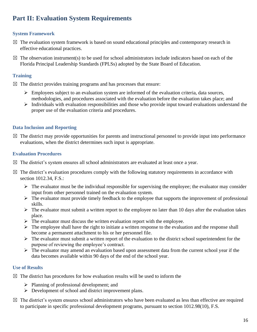### **Part II: Evaluation System Requirements**

### **System Framework**

- $\boxtimes$  The evaluation system framework is based on sound educational principles and contemporary research in effective educational practices.
- $\boxtimes$  The observation instrument(s) to be used for school administrators include indicators based on each of the Florida Principal Leadership Standards (FPLSs) adopted by the State Board of Education.

### **Training**

- $\boxtimes$  The district provides training programs and has processes that ensure:
	- ➢ Employees subject to an evaluation system are informed of the evaluation criteria, data sources, methodologies, and procedures associated with the evaluation before the evaluation takes place; and
	- ➢ Individuals with evaluation responsibilities and those who provide input toward evaluations understand the proper use of the evaluation criteria and procedures.

### **Data Inclusion and Reporting**

 $\boxtimes$  The district may provide opportunities for parents and instructional personnel to provide input into performance evaluations, when the district determines such input is appropriate.

### **Evaluation Procedures**

- $\boxtimes$  The district's system ensures all school administrators are evaluated at least once a year.
- $\boxtimes$  The district's evaluation procedures comply with the following statutory requirements in accordance with section 1012.34, F.S.:
	- $\triangleright$  The evaluator must be the individual responsible for supervising the employee; the evaluator may consider input from other personnel trained on the evaluation system.
	- ➢ The evaluator must provide timely feedback to the employee that supports the improvement of professional skills.
	- $\triangleright$  The evaluator must submit a written report to the employee no later than 10 days after the evaluation takes place.
	- $\triangleright$  The evaluator must discuss the written evaluation report with the employee.
	- ➢ The employee shall have the right to initiate a written response to the evaluation and the response shall become a permanent attachment to his or her personnel file.
	- ➢ The evaluator must submit a written report of the evaluation to the district school superintendent for the purpose of reviewing the employee's contract.
	- ➢ The evaluator may amend an evaluation based upon assessment data from the current school year if the data becomes available within 90 days of the end of the school year.

### **Use of Results**

- $\boxtimes$  The district has procedures for how evaluation results will be used to inform the
	- ➢ Planning of professional development; and
	- ➢ Development of school and district improvement plans.
- $\boxtimes$  The district's system ensures school administrators who have been evaluated as less than effective are required to participate in specific professional development programs, pursuant to section 1012.98(10), F.S.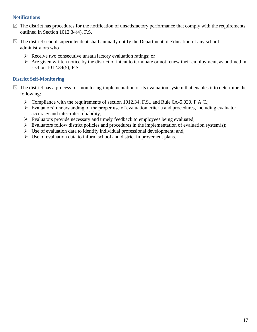### **Notifications**

- $\boxtimes$  The district has procedures for the notification of unsatisfactory performance that comply with the requirements outlined in Section 1012.34(4), F.S.
- $\boxtimes$  The district school superintendent shall annually notify the Department of Education of any school administrators who
	- ➢ Receive two consecutive unsatisfactory evaluation ratings; or
	- ➢ Are given written notice by the district of intent to terminate or not renew their employment, as outlined in section 1012.34(5), F.S.

### **District Self-Monitoring**

- $\boxtimes$  The district has a process for monitoring implementation of its evaluation system that enables it to determine the following:
	- ➢ Compliance with the requirements of section 1012.34, F.S., and Rule 6A-5.030, F.A.C.;
	- ➢ Evaluators' understanding of the proper use of evaluation criteria and procedures, including evaluator accuracy and inter-rater reliability;
	- ➢ Evaluators provide necessary and timely feedback to employees being evaluated;
	- $\triangleright$  Evaluators follow district policies and procedures in the implementation of evaluation system(s);
	- ➢ Use of evaluation data to identify individual professional development; and,
	- ➢ Use of evaluation data to inform school and district improvement plans.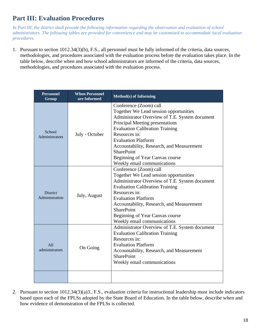### **Part III: Evaluation Procedures**

*In Part III, the district shall provide the following information regarding the observation and evaluation of school administrators. The following tables are provided for convenience and may be customized to accommodate local evaluation procedures.*

1. Pursuant to section 1012.34(3)(b), F.S., all personnel must be fully informed of the criteria, data sources, methodologies, and procedures associated with the evaluation process before the evaluation takes place. In the table below, describe when and how school administrators are informed of the criteria, data sources, methodologies, and procedures associated with the evaluation process.

| <b>Personnel</b><br>Group         | <b>When Personnel</b><br>are Informed | <b>Method(s) of Informing</b>                                                                                                                                                                                                                                                                                                                                                      |
|-----------------------------------|---------------------------------------|------------------------------------------------------------------------------------------------------------------------------------------------------------------------------------------------------------------------------------------------------------------------------------------------------------------------------------------------------------------------------------|
| School<br><b>Administrators</b>   | July - October                        | Conference (Zoom) call<br>Together We Lead session opportunities<br>Administrator Overview of T.E. System document<br>Principal Meeting presentations<br><b>Evaluation Calibration Training</b><br>Resources in:<br><b>Evaluation Platform</b><br>Accountability, Research, and Measurement<br><b>SharePoint</b><br>Beginning of Year Canvas course<br>Weekly email communications |
| <b>District</b><br>Administration | July, August                          | Conference (Zoom) call<br>Together We Lead session opportunities<br>Administrator Overview of T.E. System document<br><b>Evaluation Calibration Training</b><br>Resources in:<br><b>Evaluation Platform</b><br>Accountability, Research, and Measurement<br><b>SharePoint</b><br>Beginning of Year Canvas course<br>Weekly email communications                                    |
| A11<br>administrators             | On Going                              | Administrator Overview of T.E. System document<br><b>Evaluation Calibration Training</b><br>Resources in:<br><b>Evaluation Platform</b><br>Accountability, Research, and Measurement<br><b>SharePoint</b><br>Weekly email communications                                                                                                                                           |
|                                   |                                       |                                                                                                                                                                                                                                                                                                                                                                                    |

2. Pursuant to section 1012.34(3)(a)3., F.S., evaluation criteria for instructional leadership must include indicators based upon each of the FPLSs adopted by the State Board of Education. In the table below, describe when and how evidence of demonstration of the FPLSs is collected.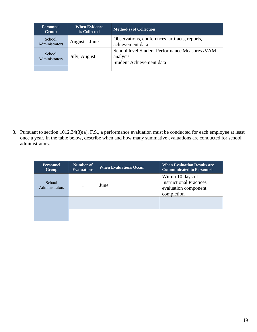| <b>Personnel</b><br>Group       | <b>When Evidence</b><br>is Collected | <b>Method(s) of Collection</b>                                                          |
|---------------------------------|--------------------------------------|-----------------------------------------------------------------------------------------|
| School<br>Administrators        | $August - June$                      | Observations, conferences, artifacts, reports,<br>achievement data                      |
| School<br><b>Administrators</b> | July, August                         | School level Student Performance Measures / VAM<br>analysis<br>Student Achievement data |
|                                 |                                      |                                                                                         |

3. Pursuant to section 1012.34(3)(a), F.S., a performance evaluation must be conducted for each employee at least once a year. In the table below, describe when and how many summative evaluations are conducted for school administrators.

| <b>Personnel</b><br><b>Group</b> | Number of<br><b>Evaluations</b> | <b>When Evaluations Occur</b> | <b>When Evaluation Results are</b><br><b>Communicated to Personnel</b>                    |
|----------------------------------|---------------------------------|-------------------------------|-------------------------------------------------------------------------------------------|
| School<br>Administrators         |                                 | June                          | Within 10 days of<br><b>Instructional Practices</b><br>evaluation component<br>completion |
|                                  |                                 |                               |                                                                                           |
|                                  |                                 |                               |                                                                                           |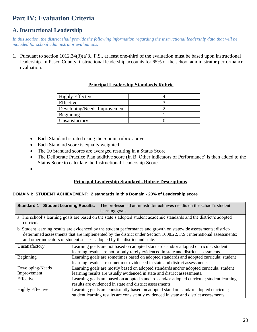### **Part IV: Evaluation Criteria**

### **A. Instructional Leadership**

*In this section, the district shall provide the following information regarding the instructional leadership data that will be included for school administrator evaluations.*

1. Pursuant to section 1012.34(3)(a)3., F.S., at least one-third of the evaluation must be based upon instructional leadership. In Pasco County, instructional leadership accounts for 65% of the school administrator performance evaluation.

### **Principal Leadership Standards Rubric**

| <b>Highly Effective</b>      |  |
|------------------------------|--|
| Effective                    |  |
| Developing/Needs Improvement |  |
| Beginning                    |  |
| Unsatisfactory               |  |

- Each Standard is rated using the 5 point rubric above
- Each Standard score is equally weighted
- The 10 Standard scores are averaged resulting in a Status Score
- The Deliberate Practice Plan additive score (in B. Other indicators of Performance) is then added to the Status Score to calculate the Instructional Leadership Score.
- •

### **Principal Leadership Standards Rubric Descriptions**

#### **DOMAIN I: STUDENT ACHIEVEMENT: 2 standards in this Domain - 20% of Leadership score**

| <b>Standard 1-Student Learning Results:</b>                                                                                                                                                                                                                                                                              | The professional administrator achieves results on the school's student<br>learning goals.                                                                                     |  |  |  |
|--------------------------------------------------------------------------------------------------------------------------------------------------------------------------------------------------------------------------------------------------------------------------------------------------------------------------|--------------------------------------------------------------------------------------------------------------------------------------------------------------------------------|--|--|--|
| curricula.                                                                                                                                                                                                                                                                                                               | a. The school's learning goals are based on the state's adopted student academic standards and the district's adopted                                                          |  |  |  |
| b. Student learning results are evidenced by the student performance and growth on statewide assessments; district-<br>determined assessments that are implemented by the district under Section 1008.22, F.S.; international assessments;<br>and other indicators of student success adopted by the district and state. |                                                                                                                                                                                |  |  |  |
| Unsatisfactory                                                                                                                                                                                                                                                                                                           | Learning goals are not based on adopted standards and/or adopted curricula; student<br>learning results are not or only rarely evidenced in state and district assessments.    |  |  |  |
| Beginning                                                                                                                                                                                                                                                                                                                | Learning goals are sometimes based on adopted standards and adopted curricula; student<br>learning results are sometimes evidenced in state and district assessments.          |  |  |  |
| Developing/Needs                                                                                                                                                                                                                                                                                                         | Learning goals are mostly based on adopted standards and/or adopted curricula; student                                                                                         |  |  |  |
| Improvement                                                                                                                                                                                                                                                                                                              | learning results are usually evidenced in state and district assessments.                                                                                                      |  |  |  |
| Effective                                                                                                                                                                                                                                                                                                                | Learning goals are based on adopted standards and/or adopted curricula; student learning<br>results are evidenced in state and district assessments.                           |  |  |  |
| <b>Highly Effective</b>                                                                                                                                                                                                                                                                                                  | Learning goals are consistently based on adopted standards and/or adopted curricula;<br>student learning results are consistently evidenced in state and district assessments. |  |  |  |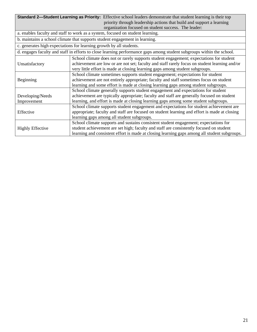| Standard 2—Student Learning as Priority: Effective school leaders demonstrate that student learning is their top |                                                                                                                       |  |
|------------------------------------------------------------------------------------------------------------------|-----------------------------------------------------------------------------------------------------------------------|--|
|                                                                                                                  | priority through leadership actions that build and support a learning                                                 |  |
|                                                                                                                  | organization focused on student success. The leader:                                                                  |  |
|                                                                                                                  | a. enables faculty and staff to work as a system, focused on student learning.                                        |  |
|                                                                                                                  | b. maintains a school climate that supports student engagement in learning.                                           |  |
|                                                                                                                  | c. generates high expectations for learning growth by all students.                                                   |  |
|                                                                                                                  | d. engages faculty and staff in efforts to close learning performance gaps among student subgroups within the school. |  |
|                                                                                                                  | School climate does not or rarely supports student engagement; expectations for student                               |  |
| Unsatisfactory                                                                                                   | achievement are low or are not set; faculty and staff rarely focus on student learning and/or                         |  |
|                                                                                                                  | very little effort is made at closing learning gaps among student subgroups.                                          |  |
|                                                                                                                  | School climate sometimes supports student engagement; expectations for student                                        |  |
| Beginning                                                                                                        | achievement are not entirely appropriate; faculty and staff sometimes focus on student                                |  |
|                                                                                                                  | learning and some effort is made at closing learning gaps among student subgroups.                                    |  |
|                                                                                                                  | School climate generally supports student engagement and expectations for student                                     |  |
| Developing/Needs                                                                                                 | achievement are typically appropriate; faculty and staff are generally focused on student                             |  |
| Improvement                                                                                                      | learning, and effort is made at closing learning gaps among some student subgroups.                                   |  |
|                                                                                                                  | School climate supports student engagement and expectations for student achievement are                               |  |
| Effective                                                                                                        | appropriate; faculty and staff are focused on student learning and effort is made at closing                          |  |
|                                                                                                                  | learning gaps among all student subgroups.                                                                            |  |
|                                                                                                                  | School climate supports and sustains consistent student engagement; expectations for                                  |  |
| <b>Highly Effective</b>                                                                                          | student achievement are set high; faculty and staff are consistently focused on student                               |  |
|                                                                                                                  | learning and consistent effort is made at closing learning gaps among all student subgroups.                          |  |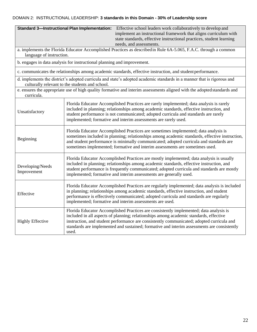### DOMAIN 2: INSTRUCTIONAL LEADERSHIP: **3 standards in this Domain - 30% of Leadership score**

| <b>Standard 3-Instructional Plan Implementation:</b><br>Effective school leaders work collaboratively to develop and |                                                                                                                                                                                                                                                                                                                                                                                       |  |
|----------------------------------------------------------------------------------------------------------------------|---------------------------------------------------------------------------------------------------------------------------------------------------------------------------------------------------------------------------------------------------------------------------------------------------------------------------------------------------------------------------------------|--|
|                                                                                                                      | implement an instructional framework that aligns curriculum with                                                                                                                                                                                                                                                                                                                      |  |
|                                                                                                                      | state standards, effective instructional practices, student learning<br>needs, and assessments.                                                                                                                                                                                                                                                                                       |  |
|                                                                                                                      | a. implements the Florida Educator Accomplished Practices as described in Rule 6A-5.065, F.A.C. through a common                                                                                                                                                                                                                                                                      |  |
| language of instruction.                                                                                             |                                                                                                                                                                                                                                                                                                                                                                                       |  |
|                                                                                                                      | b. engages in data analysis for instructional planning and improvement.                                                                                                                                                                                                                                                                                                               |  |
|                                                                                                                      | c. communicates the relationships among academic standards, effective instruction, and student performance.                                                                                                                                                                                                                                                                           |  |
|                                                                                                                      | d. implements the district's adopted curricula and state's adopted academic standards in a manner that is rigorous and<br>culturally relevant to the students and school.                                                                                                                                                                                                             |  |
| curricula.                                                                                                           | e. ensures the appropriate use of high quality formative and interim assessments aligned with the adopted standards and                                                                                                                                                                                                                                                               |  |
| Unsatisfactory                                                                                                       | Florida Educator Accomplished Practices are rarely implemented; data analysis is rarely<br>included in planning; relationships among academic standards, effective instruction, and<br>student performance is not communicated; adopted curricula and standards are rarely<br>implemented; formative and interim assessments are rarely used.                                         |  |
| Beginning                                                                                                            | Florida Educator Accomplished Practices are sometimes implemented; data analysis is<br>sometimes included in planning; relationships among academic standards, effective instruction,<br>and student performance is minimally communicated; adopted curricula and standards are<br>sometimes implemented; formative and interim assessments are sometimes used.                       |  |
| Developing/Needs<br>Improvement                                                                                      | Florida Educator Accomplished Practices are mostly implemented; data analysis is usually<br>included in planning; relationships among academic standards, effective instruction, and<br>student performance is frequently communicated; adopted curricula and standards are mostly<br>implemented; formative and interim assessments are generally used.                              |  |
| Effective                                                                                                            | Florida Educator Accomplished Practices are regularly implemented; data analysis is included<br>in planning; relationships among academic standards, effective instruction, and student<br>performance is effectively communicated; adopted curricula and standards are regularly<br>implemented; formative and interim assessments are used.                                         |  |
| <b>Highly Effective</b>                                                                                              | Florida Educator Accomplished Practices are consistently implemented; data analysis is<br>included in all aspects of planning; relationships among academic standards, effective<br>instruction, and student performance are consistently communicated; adopted curricula and<br>standards are implemented and sustained; formative and interim assessments are consistently<br>used. |  |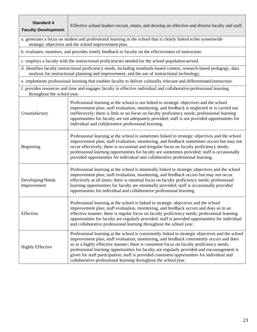| <b>Standard 4</b><br><b>Faculty Development:</b> | Effective school leaders recruit, retain, and develop an effective and diverse faculty and staff.                                                                                                                                                                                                                                                                                                                                                                                                                                                            |  |  |
|--------------------------------------------------|--------------------------------------------------------------------------------------------------------------------------------------------------------------------------------------------------------------------------------------------------------------------------------------------------------------------------------------------------------------------------------------------------------------------------------------------------------------------------------------------------------------------------------------------------------------|--|--|
|                                                  | a. generates a focus on student and professional learning in the school that is clearly linked to the systemwide<br>strategic objectives and the school improvement plan.                                                                                                                                                                                                                                                                                                                                                                                    |  |  |
|                                                  | b. evaluates, monitors, and provides timely feedback to faculty on the effectiveness of instruction.                                                                                                                                                                                                                                                                                                                                                                                                                                                         |  |  |
|                                                  | c. employs a faculty with the instructional proficiencies needed for the school population served.                                                                                                                                                                                                                                                                                                                                                                                                                                                           |  |  |
|                                                  | d. identifies faculty instructional proficiency needs, including standards-based content, research-based pedagogy, data<br>analysis for instructional planning and improvement, and the use of instructional technology.                                                                                                                                                                                                                                                                                                                                     |  |  |
|                                                  | e. implements professional learning that enables faculty to deliver culturally relevant and differentiated instruction.                                                                                                                                                                                                                                                                                                                                                                                                                                      |  |  |
| throughout the school year.                      | f. provides resources and time and engages faculty in effective individual and collaborative professional learning                                                                                                                                                                                                                                                                                                                                                                                                                                           |  |  |
| Unsatisfactory                                   | Professional learning at the school is not linked to strategic objectives and the school<br>improvement plan; staff evaluation, monitoring, and feedback is neglected or is carried out<br>ineffectively; there is little or no focus on faculty proficiency needs; professional learning<br>opportunities for faculty are not adequately provided; staff is not provided opportunities for<br>individual and collaborative professional learning.                                                                                                           |  |  |
| Beginning                                        | Professional learning at the school is sometimes linked to strategic objectives and the school<br>improvement plan; staff evaluation, monitoring, and feedback sometimes occurs but may not<br>occur effectively; there is occasional and irregular focus on faculty proficiency needs;<br>professional learning opportunities for faculty are sometimes provided; staff is occasionally<br>provided opportunities for individual and collaborative professional learning.                                                                                   |  |  |
| Developing/Needs<br>Improvement                  | Professional learning at the school is minimally linked to strategic objectives and the school<br>improvement plan; staff evaluation, monitoring, and feedback occurs but may not occur<br>effectively at all times; there is minimal focus on faculty proficiency needs; professional<br>learning opportunities for faculty are minimally provided; staff is occasionally provided<br>opportunities for individual and collaborative professional learning.                                                                                                 |  |  |
| Effective                                        | Professional learning at the school is linked to strategic objectives and the school<br>improvement plan; staff evaluation, monitoring, and feedback occurs and does so in an<br>effective manner; there is regular focus on faculty proficiency needs; professional learning<br>opportunities for faculty are regularly provided; staff is provided opportunities for individual<br>and collaborative professional learning throughout the school year.                                                                                                     |  |  |
| <b>Highly Effective</b>                          | Professional learning at the school is consistently linked to strategic objectives and the school<br>improvement plan; staff evaluation, monitoring, and feedback consistently occurs and does<br>so in a highly effective manner; there is consistent focus on faculty proficiency needs;<br>professional learning opportunities for faculty are regularly provided and encouragement is<br>given for staff participation; staff is provided consistent opportunities for individual and<br>collaborative professional learning throughout the school year. |  |  |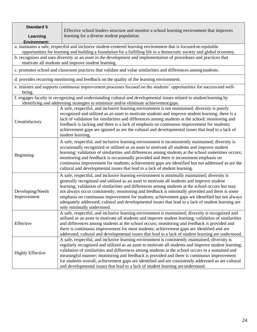| <b>Standard 5</b><br>Learning<br><b>Environment:</b> | Effective school leaders structure and monitor a school learning environment that improves<br>learning for a diverse student population.                                                                                                                                                                                                                                                                                                                                                                                                                                                                                                 |
|------------------------------------------------------|------------------------------------------------------------------------------------------------------------------------------------------------------------------------------------------------------------------------------------------------------------------------------------------------------------------------------------------------------------------------------------------------------------------------------------------------------------------------------------------------------------------------------------------------------------------------------------------------------------------------------------------|
|                                                      | a. maintains a safe, respectful and inclusive student-centered learning environment that is focused on equitable                                                                                                                                                                                                                                                                                                                                                                                                                                                                                                                         |
|                                                      | opportunities for learning and building a foundation for a fulfilling life in a democratic society and global economy.<br>b. recognizes and uses diversity as an asset in the development and implementation of procedures and practices that<br>motivate all students and improve student learning.                                                                                                                                                                                                                                                                                                                                     |
|                                                      | c. promotes school and classroom practices that validate and value similarities and differences among students.                                                                                                                                                                                                                                                                                                                                                                                                                                                                                                                          |
|                                                      | d. provides recurring monitoring and feedback on the quality of the learning environment.                                                                                                                                                                                                                                                                                                                                                                                                                                                                                                                                                |
| being.                                               | e. initiates and supports continuous improvement processes focused on the students' opportunities for success and well-                                                                                                                                                                                                                                                                                                                                                                                                                                                                                                                  |
|                                                      | f. engages faculty in recognizing and understanding cultural and developmental issues related to student learning by<br>identifying and addressing strategies to minimize and/or eliminate achievement gaps.                                                                                                                                                                                                                                                                                                                                                                                                                             |
| Unsatisfactory                                       | A safe, respectful, and inclusive learning environment is not maintained; diversity is poorly<br>recognized and utilized as an asset to motivate students and improve student learning; there is a<br>lack of validation for similarities and differences among students at the school; monitoring and<br>feedback is lacking and there is a lack of emphasis on continuous improvement for students;<br>achievement gaps are ignored as are the cultural and developmental issues that lead to a lack of<br>student learning.                                                                                                           |
| Beginning                                            | A safe, respectful, and inclusive learning environment is inconsistently maintained; diversity is<br>occasionally recognized or utilized as an asset to motivate all students and improve student<br>learning; validation of similarities and differences among students at the school sometimes occurs;<br>monitoring and feedback is occasionally provided and there is inconsistent emphasis on<br>continuous improvement for students; achievement gaps are identified but not addressed as are the<br>cultural and developmental issues that lead to a lack of student learning.                                                    |
| Developing/Needs<br>Improvement                      | A safe, respectful, and inclusive learning environment is minimally maintained; diversity is<br>generally recognized and utilized as an asset to motivate all students and improve student<br>learning; validation of similarities and differences among students at the school occurs but may<br>not always occur consistently; monitoring and feedback is minimally provided and there is some<br>emphasis on continuous improvement for students; achievement gaps are identified but not always<br>adequately addressed; cultural and developmental issues that lead to a lack of student learning are<br>only minimally understood. |
| Effective                                            | A safe, respectful, and inclusive learning environment is maintained; diversity is recognized and<br>utilized as an asset to motivate all students and improve student learning; validation of similarities<br>and differences among students at the school occurs; monitoring and feedback is provided and<br>there is continuous improvement for most students; achievement gaps are identified and are<br>addressed; cultural and developmental issues that lead to a lack of student learning are understood.                                                                                                                        |
| <b>Highly Effective</b>                              | A safe, respectful, and inclusive learning environment is consistently maintained; diversity is<br>regularly recognized and utilized as an asset to motivate all students and improve student learning;<br>validation of similarities and differences among students at the school occurs in a sustained and<br>meaningful manner; monitoring and feedback is provided and there is continuous improvement<br>for students overall; achievement gaps are identified and are consistently addressed as are cultural<br>and developmental issues that lead to a lack of student learning are understood.                                   |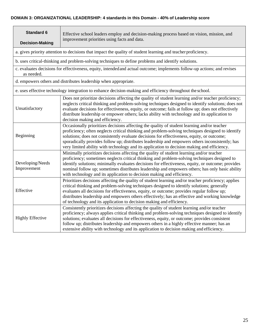### **DOMAIN 3: ORGANIZATIONAL LEADERSHIP: 4 standards in this Domain - 40% of Leadership score**

| <b>Standard 6</b><br><b>Decision-Making</b> | Effective school leaders employ and decision-making process based on vision, mission, and<br>improvement priorities using facts and data.                                                                                                                                                                                                                                                                                                                                                        |
|---------------------------------------------|--------------------------------------------------------------------------------------------------------------------------------------------------------------------------------------------------------------------------------------------------------------------------------------------------------------------------------------------------------------------------------------------------------------------------------------------------------------------------------------------------|
|                                             | a. gives priority attention to decisions that impact the quality of student learning and teacher proficiency.                                                                                                                                                                                                                                                                                                                                                                                    |
|                                             | b. uses critical-thinking and problem-solving techniques to define problems and identify solutions.                                                                                                                                                                                                                                                                                                                                                                                              |
| as needed.                                  | c. evaluates decisions for effectiveness, equity, intended and actual outcome; implements follow-up actions; and revises                                                                                                                                                                                                                                                                                                                                                                         |
|                                             | d. empowers others and distributes leadership when appropriate.                                                                                                                                                                                                                                                                                                                                                                                                                                  |
|                                             | e. uses effective technology integration to enhance decision-making and efficiency throughout the school.                                                                                                                                                                                                                                                                                                                                                                                        |
| Unsatisfactory                              | Does not prioritize decisions affecting the quality of student learning and/or teacher proficiency;<br>neglects critical thinking and problem-solving techniques designed to identify solutions; does not<br>evaluate decisions for effectiveness, equity, or outcome; fails at follow up; does not effectively<br>distribute leadership or empower others; lacks ability with technology and its application to<br>decision making and efficiency.                                              |
| Beginning                                   | Occasionally prioritizes decisions affecting the quality of student learning and/or teacher<br>proficiency; often neglects critical thinking and problem-solving techniques designed to identify<br>solutions; does not consistently evaluate decisions for effectiveness, equity, or outcome;<br>sporadically provides follow up; distributes leadership and empowers others inconsistently; has<br>very limited ability with technology and its application to decision making and efficiency. |
| Developing/Needs<br>Improvement             | Minimally prioritizes decisions affecting the quality of student learning and/or teacher<br>proficiency; sometimes neglects critical thinking and problem-solving techniques designed to<br>identify solutions; minimally evaluates decisions for effectiveness, equity, or outcome; provides<br>nominal follow up; sometimes distributes leadership and empowers others; has only basic ability<br>with technology and its application to decision making and efficiency.                       |
| Effective                                   | Prioritizes decisions affecting the quality of student learning and/or teacher proficiency; applies<br>critical thinking and problem-solving techniques designed to identify solutions; generally<br>evaluates all decisions for effectiveness, equity, or outcome; provides regular follow up;<br>distributes leadership and empowers others effectively; has an effective and working knowledge<br>of technology and its application to decision making and efficiency.                        |
| <b>Highly Effective</b>                     | Consistently prioritizes decisions affecting the quality of student learning and/or teacher<br>proficiency; always applies critical thinking and problem-solving techniques designed to identify<br>solutions; evaluates all decisions for effectiveness, equity, or outcome; provides consistent<br>follow up; distributes leadership and empowers others in a highly effective manner; has an<br>extensive ability with technology and its application to decision making and efficiency.      |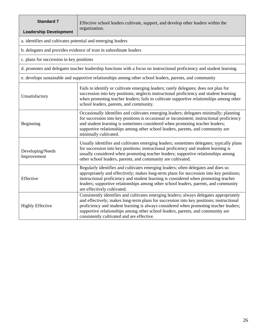| <b>Standard 7</b><br><b>Leadership Development</b>          | Effective school leaders cultivate, support, and develop other leaders within the<br>organization.                                                                                                                                                                                                                                                                                                           |
|-------------------------------------------------------------|--------------------------------------------------------------------------------------------------------------------------------------------------------------------------------------------------------------------------------------------------------------------------------------------------------------------------------------------------------------------------------------------------------------|
| a. identifies and cultivates potential and emerging leaders |                                                                                                                                                                                                                                                                                                                                                                                                              |
|                                                             | b. delegates and provides evidence of trust in subordinate leaders                                                                                                                                                                                                                                                                                                                                           |
| c. plans for succession in key positions                    |                                                                                                                                                                                                                                                                                                                                                                                                              |
|                                                             | d. promotes and delegates teacher leadership functions with a focus on instructional proficiency and student learning                                                                                                                                                                                                                                                                                        |
|                                                             | e. develops sustainable and supportive relationships among other school leaders, parents, and community                                                                                                                                                                                                                                                                                                      |
| Unsatisfactory                                              | Fails to identify or cultivate emerging leaders; rarely delegates; does not plan for<br>succession into key positions; neglects instructional proficiency and student learning<br>when promoting teacher leaders; fails to cultivate supportive relationships among other<br>school leaders, parents, and community.                                                                                         |
| Beginning                                                   | Occasionally identifies and cultivates emerging leaders; delegates minimally; planning<br>for succession into key positions is occasional or inconsistent; instructional proficiency<br>and student learning is sometimes considered when promoting teacher leaders;<br>supportive relationships among other school leaders, parents, and community are<br>minimally cultivated.                             |
| Developing/Needs<br>Improvement                             | Usually identifies and cultivates emerging leaders; sometimes delegates; typically plans<br>for succession into key positions; instructional proficiency and student learning is<br>usually considered when promoting teacher leaders; supportive relationships among<br>other school leaders, parents, and community are cultivated.                                                                        |
| Effective                                                   | Regularly identifies and cultivates emerging leaders; often delegates and does so<br>appropriately and effectively; makes long-term plans for succession into key positions;<br>instructional proficiency and student learning is considered when promoting teacher<br>leaders; supportive relationships among other school leaders, parents, and community<br>are effectively cultivated.                   |
| <b>Highly Effective</b>                                     | Consistently identifies and cultivates emerging leaders; always delegates appropriately<br>and effectively; makes long-term plans for succession into key positions; instructional<br>proficiency and student learning is always considered when promoting teacher leaders;<br>supportive relationships among other school leaders, parents, and community are<br>consistently cultivated and are effective. |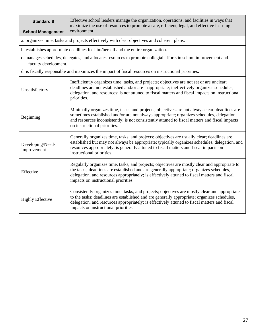| <b>Standard 8</b><br><b>School Management</b> | Effective school leaders manage the organization, operations, and facilities in ways that<br>maximize the use of resources to promote a safe, efficient, legal, and effective learning<br>environment                                                                                                                                |
|-----------------------------------------------|--------------------------------------------------------------------------------------------------------------------------------------------------------------------------------------------------------------------------------------------------------------------------------------------------------------------------------------|
|                                               | a. organizes time, tasks and projects effectively with clear objectives and coherent plans.                                                                                                                                                                                                                                          |
|                                               | b. establishes appropriate deadlines for him/herself and the entire organization.                                                                                                                                                                                                                                                    |
| faculty development.                          | c. manages schedules, delegates, and allocates resources to promote collegial efforts in school improvement and                                                                                                                                                                                                                      |
|                                               | d. is fiscally responsible and maximizes the impact of fiscal resources on instructional priorities.                                                                                                                                                                                                                                 |
| Unsatisfactory                                | Inefficiently organizes time, tasks, and projects; objectives are not set or are unclear;<br>deadlines are not established and/or are inappropriate; ineffectively organizes schedules,<br>delegation, and resources; is not attuned to fiscal matters and fiscal impacts on instructional<br>priorities.                            |
| Beginning                                     | Minimally organizes time, tasks, and projects; objectives are not always clear; deadlines are<br>sometimes established and/or are not always appropriate; organizes schedules, delegation,<br>and resources inconsistently; is not consistently attuned to fiscal matters and fiscal impacts<br>on instructional priorities.         |
| Developing/Needs<br>Improvement               | Generally organizes time, tasks, and projects; objectives are usually clear; deadlines are<br>established but may not always be appropriate; typically organizes schedules, delegation, and<br>resources appropriately; is generally attuned to fiscal matters and fiscal impacts on<br>instructional priorities.                    |
| Effective                                     | Regularly organizes time, tasks, and projects; objectives are mostly clear and appropriate to<br>the tasks; deadlines are established and are generally appropriate; organizes schedules,<br>delegation, and resources appropriately; is effectively attuned to fiscal matters and fiscal<br>impacts on instructional priorities.    |
| <b>Highly Effective</b>                       | Consistently organizes time, tasks, and projects; objectives are mostly clear and appropriate<br>to the tasks; deadlines are established and are generally appropriate; organizes schedules,<br>delegation, and resources appropriately; is effectively attuned to fiscal matters and fiscal<br>impacts on instructional priorities. |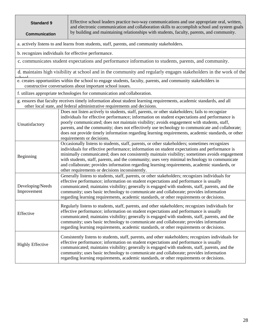| <b>Standard 9</b><br><b>Communication</b> | Effective school leaders practice two-way communications and use appropriate oral, written,<br>and electronic communication and collaboration skills to accomplish school and system goals<br>by building and maintaining relationships with students, faculty, parents, and community.                                                                                                                                                                                                                                                               |
|-------------------------------------------|-------------------------------------------------------------------------------------------------------------------------------------------------------------------------------------------------------------------------------------------------------------------------------------------------------------------------------------------------------------------------------------------------------------------------------------------------------------------------------------------------------------------------------------------------------|
|                                           | a. actively listens to and learns from students, staff, parents, and community stakeholders.                                                                                                                                                                                                                                                                                                                                                                                                                                                          |
|                                           | b. recognizes individuals for effective performance.                                                                                                                                                                                                                                                                                                                                                                                                                                                                                                  |
|                                           | c. communicates student expectations and performance information to students, parents, and community.                                                                                                                                                                                                                                                                                                                                                                                                                                                 |
|                                           | d. maintains high visibility at school and in the community and regularly engages stakeholders in the work of the                                                                                                                                                                                                                                                                                                                                                                                                                                     |
|                                           | e. creates opportunities within the school to engage students, faculty, parents, and community stakeholders in<br>constructive conversations about important school issues.                                                                                                                                                                                                                                                                                                                                                                           |
|                                           | f. utilizes appropriate technologies for communication and collaboration.                                                                                                                                                                                                                                                                                                                                                                                                                                                                             |
|                                           | g. ensures that faculty receives timely information about student learning requirements, academic standards, and all<br>other local state, and federal administrative requirements and decisions.                                                                                                                                                                                                                                                                                                                                                     |
| Unsatisfactory                            | Does not listen actively to students, staff, parents, or other stakeholders; fails to recognize<br>individuals for effective performance; information on student expectations and performance is<br>poorly communicated; does not maintain visibility; avoids engagement with students, staff,<br>parents, and the community; does not effectively use technology to communicate and collaborate;<br>does not provide timely information regarding learning requirements, academic standards, or other<br>requirements or decisions.                  |
| Beginning                                 | Occasionally listens to students, staff, parents, or other stakeholders; sometimes recognizes<br>individuals for effective performance; information on student expectations and performance is<br>minimally communicated; does not consistently maintain visibility; sometimes avoids engagement<br>with students, staff, parents, and the community; uses very minimal technology to communicate<br>and collaborate; provides information regarding learning requirements, academic standards, or<br>other requirements or decisions inconsistently. |
| Developing/Needs<br>Improvement           | Generally listens to students, staff, parents, or other stakeholders; recognizes individuals for<br>effective performance; information on student expectations and performance is usually<br>communicated; maintains visibility; generally is engaged with students, staff, parents, and the<br>community; uses basic technology to communicate and collaborate; provides information<br>regarding learning requirements, academic standards, or other requirements or decisions.                                                                     |
| Effective                                 | Regularly listens to students, staff, parents, and other stakeholders; recognizes individuals for<br>effective performance; information on student expectations and performance is usually<br>communicated; maintains visibility; generally is engaged with students, staff, parents, and the<br>community; uses basic technology to communicate and collaborate; provides information<br>regarding learning requirements, academic standards, or other requirements or decisions.                                                                    |
| <b>Highly Effective</b>                   | Consistently listens to students, staff, parents, and other stakeholders; recognizes individuals for<br>effective performance; information on student expectations and performance is usually<br>communicated; maintains visibility; generally is engaged with students, staff, parents, and the<br>community; uses basic technology to communicate and collaborate; provides information<br>regarding learning requirements, academic standards, or other requirements or decisions.                                                                 |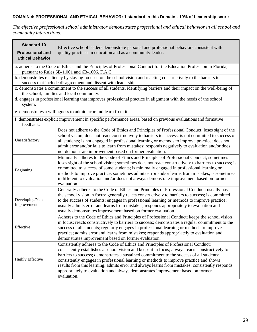#### **DOMAIN 4: PROFESSIONAL AND ETHICAL BEHAVIOR: 1 standard in this Domain - 10% of Leadership score**

*The effective professional school administrator demonstrates professional and ethical behavior in all school and community interactions.*

| <b>Standard 10</b><br><b>Professional and</b><br><b>Ethical Behavior</b> | Effective school leaders demonstrate personal and professional behaviors consistent with<br>quality practices in education and as a community leader.                                                                                                                                                                                                                                                                                                                                                                                                                            |
|--------------------------------------------------------------------------|----------------------------------------------------------------------------------------------------------------------------------------------------------------------------------------------------------------------------------------------------------------------------------------------------------------------------------------------------------------------------------------------------------------------------------------------------------------------------------------------------------------------------------------------------------------------------------|
|                                                                          | a. adheres to the Code of Ethics and the Principles of Professional Conduct for the Education Profession in Florida,<br>pursuant to Rules 6B-1.001 and 6B-1006, F.A.C.                                                                                                                                                                                                                                                                                                                                                                                                           |
|                                                                          | b. demonstrates resiliency by staying focused on the school vision and reacting constructively to the barriers to<br>success that include disagreement and dissent with leadership.                                                                                                                                                                                                                                                                                                                                                                                              |
|                                                                          | c. demonstrates a commitment to the success of all students, identifying barriers and their impact on the well-being of<br>the school, families and local community.                                                                                                                                                                                                                                                                                                                                                                                                             |
| system.                                                                  | d. engages in professional learning that improves professional practice in alignment with the needs of the school                                                                                                                                                                                                                                                                                                                                                                                                                                                                |
|                                                                          | e. demonstrates a willingness to admit error and learn from it                                                                                                                                                                                                                                                                                                                                                                                                                                                                                                                   |
| feedback.                                                                | f. demonstrates explicit improvement in specific performance areas, based on previous evaluations and formative                                                                                                                                                                                                                                                                                                                                                                                                                                                                  |
| Unsatisfactory                                                           | Does not adhere to the Code of Ethics and Principles of Professional Conduct; loses sight of the<br>school vision; does not react constructively to barriers to success; is not committed to success of<br>all students; is not engaged in professional learning or methods to improve practice; does not<br>admit error and/or fails to learn from mistakes; responds negatively to evaluation and/or does<br>not demonstrate improvement based on former evaluation.                                                                                                           |
| Beginning                                                                | Minimally adheres to the Code of Ethics and Principles of Professional Conduct; sometimes<br>loses sight of the school vision; sometimes does not react constructively to barriers to success; is<br>committed to success of some students; is minimally engaged in professional learning or<br>methods to improve practice; sometimes admits error and/or learns from mistakes; is sometimes<br>indifferent to evaluation and/or does not always demonstrate improvement based on former<br>evaluation.                                                                         |
| Developing/Needs<br>Improvement                                          | Generally adheres to the Code of Ethics and Principles of Professional Conduct; usually has<br>the school vision in focus; generally reacts constructively to barriers to success; is committed<br>to the success of students; engages in professional learning or methods to improve practice;<br>usually admits error and learns from mistakes; responds appropriately to evaluation and<br>usually demonstrates improvement based on former evaluation.                                                                                                                       |
| Effective                                                                | Adheres to the Code of Ethics and Principles of Professional Conduct; keeps the school vision<br>in focus; reacts constructively to barriers to success; demonstrates a regular commitment to the<br>success of all students; regularly engages in professional learning or methods to improve<br>practice; admits error and learns from mistakes; responds appropriately to evaluation and<br>demonstrates improvement based on former evaluation.                                                                                                                              |
| <b>Highly Effective</b>                                                  | Consistently adheres to the Code of Ethics and Principles of Professional Conduct;<br>consistently establishes a school vision and keeps it in focus; always reacts constructively to<br>barriers to success; demonstrates a sustained commitment to the success of all students;<br>consistently engages in professional learning or methods to improve practice and shows<br>results from this learning; admits error and always learns from mistakes; consistently responds<br>appropriately to evaluation and always demonstrates improvement based on former<br>evaluation. |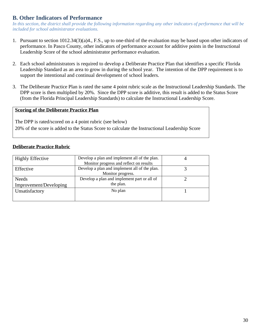### **B. Other Indicators of Performance**

*In this section, the district shall provide the following information regarding any other indicators of performance that will be included for school administrator evaluations.*

- 1. Pursuant to section 1012.34(3)(a)4., F.S., up to one-third of the evaluation may be based upon other indicators of performance. In Pasco County, other indicators of performance account for additive points in the Instructional Leadership Score of the school administrator performance evaluation.
- 2. Each school administrators is required to develop a Deliberate Practice Plan that identifies a specific Florida Leadership Standard as an area to grow in during the school year. The intention of the DPP requirement is to support the intentional and continual development of school leaders.
- 3. The Deliberate Practice Plan is rated the same 4 point rubric scale as the Instructional Leadership Standards. The DPP score is then multiplied by 20%. Since the DPP score is additive, this result is added to the Status Score (from the Florida Principal Leadership Standards) to calculate the Instructional Leadership Score.

#### **Scoring of the Deliberate Practice Plan**

The DPP is rated/scored on a 4 point rubric (see below) 20% of the score is added to the Status Score to calculate the Instructional Leadership Score

### **Deliberate Practice Rubric**

| <b>Highly Effective</b> | Develop a plan and implement all of the plan. |  |
|-------------------------|-----------------------------------------------|--|
|                         | Monitor progress and reflect on results       |  |
| Effective               | Develop a plan and implement all of the plan. |  |
|                         | Monitor progress.                             |  |
| <b>Needs</b>            | Develop a plan and implement part or all of   |  |
| Improvement/Developing  | the plan.                                     |  |
| Unsatisfactory          | No plan                                       |  |
|                         |                                               |  |
|                         |                                               |  |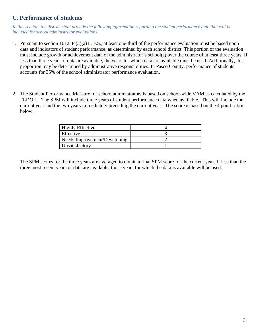### **C. Performance of Students**

In this section, the district shall provide the following information regarding the student performance data that will be *included for school administrator evaluations.* 

- 1. Pursuant to section 1012.34(3)(a)1., F.S., at least one-third of the performance evaluation must be based upon data and indicators of student performance, as determined by each school district. This portion of the evaluation must include growth or achievement data of the administrator's school(s) over the course of at least three years. If less than three years of data are available, the years for which data are available must be used. Additionally, this proportion may be determined by administrative responsibilities. In Pasco County, performance of students accounts for 35% of the school administrator performance evaluation.
- 2. The Student Performance Measure for school administrators is based on school-wide VAM as calculated by the FLDOE. The SPM will include three years of student performance data when available. This will include the current year and the two years immediately preceding the current year. The score is based on the 4 point rubric below.

| <b>Highly Effective</b>      |  |
|------------------------------|--|
| Effective                    |  |
| Needs Improvement/Developing |  |
| Unsatisfactory               |  |

The SPM scores for the three years are averaged to obtain a final SPM score for the current year. If less than the three most recent years of data are available, those years for which the data is available will be used.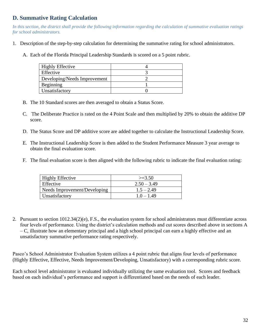### **D. Summative Rating Calculation**

*In this section, the district shall provide the following information regarding the calculation of summative evaluation ratings for school administrators.*

- 1. Description of the step-by-step calculation for determining the summative rating for school administrators.
	- A. Each of the Florida Principal Leadership Standards is scored on a 5 point rubric.

| <b>Highly Effective</b>      |  |
|------------------------------|--|
| Effective                    |  |
| Developing/Needs Improvement |  |
| Beginning                    |  |
| Unsatisfactory               |  |

- B. The 10 Standard scores are then averaged to obtain a Status Score.
- C. The Deliberate Practice is rated on the 4 Point Scale and then multiplied by 20% to obtain the additive DP score.
- D. The Status Score and DP additive score are added together to calculate the Instructional Leadership Score.
- E. The Instructional Leadership Score is then added to the Student Performance Measure 3 year average to obtain the final evaluation score.
- F. The final evaluation score is then aligned with the following rubric to indicate the final evaluation rating:

| <b>Highly Effective</b>      | $>=3.50$      |
|------------------------------|---------------|
| Effective                    | $2.50 - 3.49$ |
| Needs Improvement/Developing | $1.5 - 2.49$  |
| Unsatisfactory               | $1.0 - 1.49$  |

2. Pursuant to section 1012.34(2)(e), F.S., the evaluation system for school administrators must differentiate across four levels of performance. Using the district's calculation methods and cut scores described above in sections A – C, illustrate how an elementary principal and a high school principal can earn a highly effective and an unsatisfactory summative performance rating respectively.

Pasco's School Administrator Evaluation System utilizes a 4 point rubric that aligns four levels of performance (Highly Effective, Effective, Needs Improvement/Developing, Unsatisfactory) with a corresponding rubric score.

Each school level administrator is evaluated individually utilizing the same evaluation tool. Scores and feedback based on each individual's performance and support is differentiated based on the needs of each leader.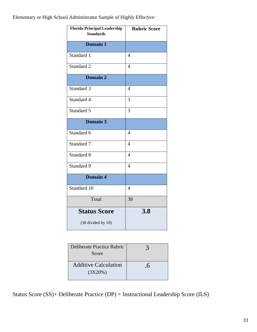Elementary or High School Administrator Sample of Highly Effective:

| <b>Florida Principal Leadership</b><br><b>Standards</b> | <b>Rubric Score</b> |
|---------------------------------------------------------|---------------------|
| Domain 1                                                |                     |
| Standard 1                                              | $\overline{4}$      |
| Standard 2                                              | $\overline{4}$      |
| Domain 2                                                |                     |
| Standard 3                                              | $\overline{4}$      |
| Standard 4                                              | 3                   |
| Standard 5                                              | 3                   |
| Domain 3                                                |                     |
| Standard 6                                              | $\overline{4}$      |
| Standard 7                                              | $\overline{4}$      |
| Standard 8                                              | $\overline{4}$      |
| Standard 9                                              | $\overline{4}$      |
| Domain 4                                                |                     |
| Standard 10                                             | $\overline{4}$      |
| Total                                                   | 38                  |
| <b>Status Score</b><br>(38 divided by 10)               | 3.8                 |

| Deliberate Practice Rubric<br>Score    |                |
|----------------------------------------|----------------|
| <b>Additive Calculation</b><br>(3X20%) | . $\mathsf{D}$ |

Status Score (SS)+ Deliberate Practice (DP) = Instructional Leadership Score (ILS)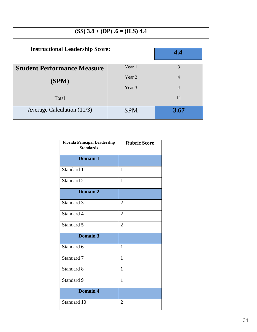### **(SS) 3.8 + (DP) .6 = (ILS) 4.4**

| <b>Instructional Leadership Score:</b> |                   | 4.4  |
|----------------------------------------|-------------------|------|
| <b>Student Performance Measure</b>     | Year 1            | 3    |
| (SPM)                                  | Year <sub>2</sub> | 4    |
|                                        | Year 3            | 4    |
| Total                                  |                   | 11   |
| Average Calculation $(11/3)$           | <b>SPM</b>        | 3.67 |

| <b>Florida Principal Leadership</b><br><b>Standards</b> | Rubric Score   |
|---------------------------------------------------------|----------------|
| <b>Domain 1</b>                                         |                |
| Standard 1                                              | 1              |
| Standard 2                                              | $\mathbf{1}$   |
| <b>Domain 2</b>                                         |                |
| Standard 3                                              | $\overline{2}$ |
| Standard 4                                              | $\overline{2}$ |
| Standard 5                                              | $\overline{2}$ |
| Domain 3                                                |                |
| Standard 6                                              | $\mathbf{1}$   |
| Standard 7                                              | 1              |
| Standard 8                                              | $\mathbf{1}$   |
| Standard 9                                              | 1              |
| Domain 4                                                |                |
| Standard 10                                             | 2              |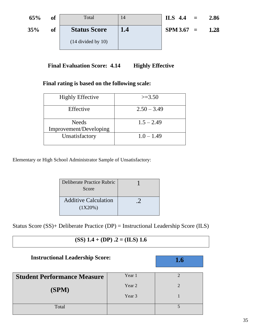| 65% | of | Total               | 14  | ILS $4.4 =$  | 2.86 |
|-----|----|---------------------|-----|--------------|------|
| 35% | of | <b>Status Score</b> | 1.4 | $SPM 3.67 =$ | 1.28 |
|     |    | $(14 \div 10)$      |     |              |      |

**Final Evaluation Score: 4.14 •• Highly Effective** 

### **Final rating is based on the following scale:**

| <b>Highly Effective</b>                | $>=3.50$      |
|----------------------------------------|---------------|
| Effective                              | $2.50 - 3.49$ |
| <b>Needs</b><br>Improvement/Developing | $1.5 - 2.49$  |
| Unsatisfactory                         | $1.0 - 1.49$  |

Elementary or High School Administrator Sample of Unsatisfactory:

| Deliberate Practice Rubric<br>Score    |  |
|----------------------------------------|--|
| <b>Additive Calculation</b><br>(1X20%) |  |

Status Score (SS)+ Deliberate Practice (DP) = Instructional Leadership Score (ILS)

### **(SS)**  $1.4 + (DP)$  **.2**  $=$  **(ILS)**  $1.6$

| <b>Instructional Leadership Score:</b> |        | 1.6 |
|----------------------------------------|--------|-----|
| <b>Student Performance Measure</b>     | Year 1 |     |
| (SPM)                                  | Year 2 |     |
|                                        | Year 3 |     |
| Total                                  |        |     |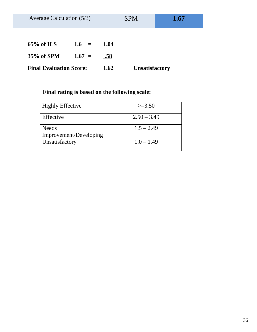| Average Calculation $(5/3)$    |          |      | <b>SPM</b>            | 1.67 |
|--------------------------------|----------|------|-----------------------|------|
|                                |          |      |                       |      |
| $65\%$ of ILS                  | $1.6 =$  | 1.04 |                       |      |
| 35% of SPM                     | $1.67 =$ | .58  |                       |      |
| <b>Final Evaluation Score:</b> |          | 1.62 | <b>Unsatisfactory</b> |      |

### **Final rating is based on the following scale:**

| <b>Highly Effective</b>                | $>=3.50$      |
|----------------------------------------|---------------|
| Effective                              | $2.50 - 3.49$ |
| <b>Needs</b><br>Improvement/Developing | $1.5 - 2.49$  |
| Unsatisfactory                         | $1.0 - 1.49$  |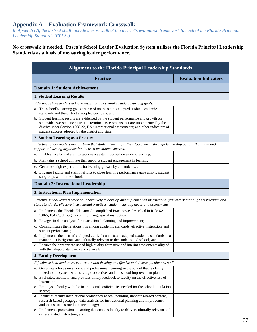### **Appendix A – Evaluation Framework Crosswalk**

*In Appendix A, the district shall include a crosswalk of the district's evaluation framework to each of the Florida Principal Leadership Standards (FPLSs).*

### **No crosswalk is needed. Pasco's School Leader Evaluation System utilizes the Florida Principal Leadership Standards as a basis of measuring leader performance.**

| <b>Alignment to the Florida Principal Leadership Standards</b>                                                                                                                                                                                                                                                             |                              |  |
|----------------------------------------------------------------------------------------------------------------------------------------------------------------------------------------------------------------------------------------------------------------------------------------------------------------------------|------------------------------|--|
| <b>Practice</b>                                                                                                                                                                                                                                                                                                            | <b>Evaluation Indicators</b> |  |
| <b>Domain 1: Student Achievement</b>                                                                                                                                                                                                                                                                                       |                              |  |
| <b>1. Student Learning Results</b>                                                                                                                                                                                                                                                                                         |                              |  |
| Effective school leaders achieve results on the school's student learning goals.                                                                                                                                                                                                                                           |                              |  |
| a. The school's learning goals are based on the state's adopted student academic<br>standards and the district's adopted curricula; and,                                                                                                                                                                                   |                              |  |
| b. Student learning results are evidenced by the student performance and growth on<br>statewide assessments; district-determined assessments that are implemented by the<br>district under Section 1008.22, F.S.; international assessments; and other indicators of<br>student success adopted by the district and state. |                              |  |
| 2. Student Learning as a Priority                                                                                                                                                                                                                                                                                          |                              |  |
| Effective school leaders demonstrate that student learning is their top priority through leadership actions that build and<br>support a learning organization focused on student success.                                                                                                                                  |                              |  |
| a. Enables faculty and staff to work as a system focused on student learning;                                                                                                                                                                                                                                              |                              |  |
| b. Maintains a school climate that supports student engagement in learning;                                                                                                                                                                                                                                                |                              |  |
| c. Generates high expectations for learning growth by all students; and,                                                                                                                                                                                                                                                   |                              |  |
| d. Engages faculty and staff in efforts to close learning performance gaps among student<br>subgroups within the school.                                                                                                                                                                                                   |                              |  |
| <b>Domain 2: Instructional Leadership</b>                                                                                                                                                                                                                                                                                  |                              |  |
| 3. Instructional Plan Implementation                                                                                                                                                                                                                                                                                       |                              |  |
| Effective school leaders work collaboratively to develop and implement an instructional framework that aligns curriculum and<br>state standards, effective instructional practices, student learning needs and assessments.                                                                                                |                              |  |
| a. Implements the Florida Educator Accomplished Practices as described in Rule 6A-<br>5.065, F.A.C., through a common language of instruction;                                                                                                                                                                             |                              |  |
| b. Engages in data analysis for instructional planning and improvement;                                                                                                                                                                                                                                                    |                              |  |
| c. Communicates the relationships among academic standards, effective instruction, and<br>student performance;                                                                                                                                                                                                             |                              |  |
| d. Implements the district's adopted curricula and state's adopted academic standards in a<br>manner that is rigorous and culturally relevant to the students and school; and,                                                                                                                                             |                              |  |
| e. Ensures the appropriate use of high quality formative and interim assessments aligned<br>with the adopted standards and curricula.                                                                                                                                                                                      |                              |  |
| <b>4. Faculty Development</b>                                                                                                                                                                                                                                                                                              |                              |  |
| Effective school leaders recruit, retain and develop an effective and diverse faculty and staff.                                                                                                                                                                                                                           |                              |  |
| a. Generates a focus on student and professional learning in the school that is clearly                                                                                                                                                                                                                                    |                              |  |
| linked to the system-wide strategic objectives and the school improvement plan;                                                                                                                                                                                                                                            |                              |  |
| b. Evaluates, monitors, and provides timely feedback to faculty on the effectiveness of<br>instruction;                                                                                                                                                                                                                    |                              |  |
| c. Employs a faculty with the instructional proficiencies needed for the school population<br>served;                                                                                                                                                                                                                      |                              |  |
| d. Identifies faculty instructional proficiency needs, including standards-based content,                                                                                                                                                                                                                                  |                              |  |
| research-based pedagogy, data analysis for instructional planning and improvement,<br>and the use of instructional technology;                                                                                                                                                                                             |                              |  |
| e. Implements professional learning that enables faculty to deliver culturally relevant and<br>differentiated instruction; and,                                                                                                                                                                                            |                              |  |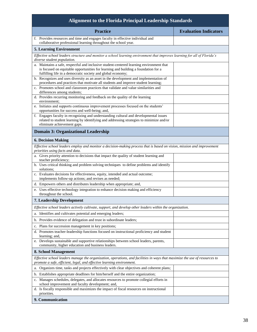| <b>Alignment to the Florida Principal Leadership Standards</b>                                                                                                                                                                                |                              |
|-----------------------------------------------------------------------------------------------------------------------------------------------------------------------------------------------------------------------------------------------|------------------------------|
| <b>Practice</b>                                                                                                                                                                                                                               | <b>Evaluation Indicators</b> |
| f. Provides resources and time and engages faculty in effective individual and<br>collaborative professional learning throughout the school year.                                                                                             |                              |
| <b>5. Learning Environment</b>                                                                                                                                                                                                                |                              |
| Effective school leaders structure and monitor a school learning environment that improves learning for all of Florida's<br>diverse student population.                                                                                       |                              |
| a. Maintains a safe, respectful and inclusive student-centered learning environment that<br>is focused on equitable opportunities for learning and building a foundation for a<br>fulfilling life in a democratic society and global economy; |                              |
| b. Recognizes and uses diversity as an asset in the development and implementation of<br>procedures and practices that motivate all students and improve student learning;                                                                    |                              |
| c. Promotes school and classroom practices that validate and value similarities and<br>differences among students;                                                                                                                            |                              |
| d. Provides recurring monitoring and feedback on the quality of the learning<br>environment;                                                                                                                                                  |                              |
| e. Initiates and supports continuous improvement processes focused on the students'<br>opportunities for success and well-being; and,                                                                                                         |                              |
| f. Engages faculty in recognizing and understanding cultural and developmental issues<br>related to student learning by identifying and addressing strategies to minimize and/or<br>eliminate achievement gaps.                               |                              |
| <b>Domain 3: Organizational Leadership</b>                                                                                                                                                                                                    |                              |
| <b>6. Decision Making</b>                                                                                                                                                                                                                     |                              |
| Effective school leaders employ and monitor a decision-making process that is based on vision, mission and improvement<br>priorities using facts and data.                                                                                    |                              |
| a. Gives priority attention to decisions that impact the quality of student learning and<br>teacher proficiency;                                                                                                                              |                              |
| b. Uses critical thinking and problem solving techniques to define problems and identify<br>solutions;                                                                                                                                        |                              |
| c. Evaluates decisions for effectiveness, equity, intended and actual outcome;<br>implements follow-up actions; and revises as needed;                                                                                                        |                              |
| d. Empowers others and distributes leadership when appropriate; and,                                                                                                                                                                          |                              |
| e. Uses effective technology integration to enhance decision making and efficiency<br>throughout the school.                                                                                                                                  |                              |
| <b>7. Leadership Development</b>                                                                                                                                                                                                              |                              |
| Effective school leaders actively cultivate, support, and develop other leaders within the organization.                                                                                                                                      |                              |
| a. Identifies and cultivates potential and emerging leaders;                                                                                                                                                                                  |                              |
| Provides evidence of delegation and trust in subordinate leaders;<br>b.                                                                                                                                                                       |                              |
| c. Plans for succession management in key positions;                                                                                                                                                                                          |                              |
| d. Promotes teacher-leadership functions focused on instructional proficiency and student<br>learning; and,                                                                                                                                   |                              |
| e. Develops sustainable and supportive relationships between school leaders, parents,<br>community, higher education and business leaders.                                                                                                    |                              |
| 8. School Management                                                                                                                                                                                                                          |                              |
| Effective school leaders manage the organization, operations, and facilities in ways that maximize the use of resources to<br>promote a safe, efficient, legal, and effective learning environment.                                           |                              |
| a. Organizes time, tasks and projects effectively with clear objectives and coherent plans;                                                                                                                                                   |                              |
| b. Establishes appropriate deadlines for him/herself and the entire organization;                                                                                                                                                             |                              |
| c. Manages schedules, delegates, and allocates resources to promote collegial efforts in<br>school improvement and faculty development; and,                                                                                                  |                              |
| d. Is fiscally responsible and maximizes the impact of fiscal resources on instructional<br>priorities.                                                                                                                                       |                              |
| 9. Communication                                                                                                                                                                                                                              |                              |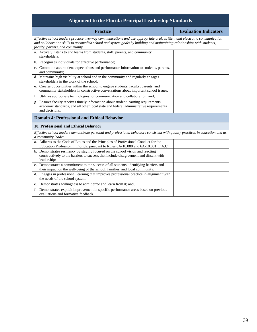| <b>Alignment to the Florida Principal Leadership Standards</b>                                                                                                                                                                                                                          |                              |
|-----------------------------------------------------------------------------------------------------------------------------------------------------------------------------------------------------------------------------------------------------------------------------------------|------------------------------|
| <b>Practice</b>                                                                                                                                                                                                                                                                         | <b>Evaluation Indicators</b> |
| Effective school leaders practice two-way communications and use appropriate oral, written, and electronic communication<br>and collaboration skills to accomplish school and system goals by building and maintaining relationships with students,<br>faculty, parents, and community. |                              |
| a. Actively listens to and learns from students, staff, parents, and community<br>stakeholders:                                                                                                                                                                                         |                              |
| b. Recognizes individuals for effective performance;                                                                                                                                                                                                                                    |                              |
| c. Communicates student expectations and performance information to students, parents,<br>and community;                                                                                                                                                                                |                              |
| d. Maintains high visibility at school and in the community and regularly engages<br>stakeholders in the work of the school;                                                                                                                                                            |                              |
| e. Creates opportunities within the school to engage students, faculty, parents, and<br>community stakeholders in constructive conversations about important school issues.                                                                                                             |                              |
| f. Utilizes appropriate technologies for communication and collaboration; and,                                                                                                                                                                                                          |                              |
| g. Ensures faculty receives timely information about student learning requirements,<br>academic standards, and all other local state and federal administrative requirements<br>and decisions.                                                                                          |                              |
| <b>Domain 4: Professional and Ethical Behavior</b>                                                                                                                                                                                                                                      |                              |
| 10. Professional and Ethical Behavior                                                                                                                                                                                                                                                   |                              |
| Effective school leaders demonstrate personal and professional behaviors consistent with quality practices in education and as<br>a community leader.                                                                                                                                   |                              |
| a. Adheres to the Code of Ethics and the Principles of Professional Conduct for the<br>Education Profession in Florida, pursuant to Rules 6A-10.080 and 6A-10.081, F.A.C.;                                                                                                              |                              |
| b. Demonstrates resiliency by staying focused on the school vision and reacting<br>constructively to the barriers to success that include disagreement and dissent with<br>leadership;                                                                                                  |                              |
| c. Demonstrates a commitment to the success of all students, identifying barriers and<br>their impact on the well-being of the school, families, and local community;                                                                                                                   |                              |
| d. Engages in professional learning that improves professional practice in alignment with<br>the needs of the school system;                                                                                                                                                            |                              |
| e. Demonstrates willingness to admit error and learn from it; and,                                                                                                                                                                                                                      |                              |
| f. Demonstrates explicit improvement in specific performance areas based on previous<br>evaluations and formative feedback.                                                                                                                                                             |                              |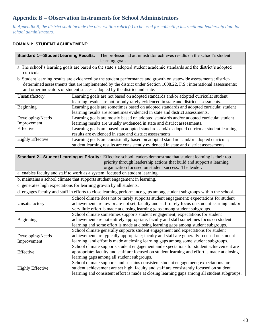### **Appendix B – Observation Instruments for School Administrators**

*In Appendix B, the district shall include the observation rubric(s) to be used for collecting instructional leadership data for school administrators.*

### **DOMAIN I: STUDENT ACHIEVEMENT:**

| <b>Standard 1-Student Learning Results:</b>                                                                                                                                                                                                                                                                              | The professional administrator achieves results on the school's student<br>learning goals.                                                                                     |  |
|--------------------------------------------------------------------------------------------------------------------------------------------------------------------------------------------------------------------------------------------------------------------------------------------------------------------------|--------------------------------------------------------------------------------------------------------------------------------------------------------------------------------|--|
| curricula.                                                                                                                                                                                                                                                                                                               | a. The school's learning goals are based on the state's adopted student academic standards and the district's adopted                                                          |  |
| b. Student learning results are evidenced by the student performance and growth on statewide assessments; district-<br>determined assessments that are implemented by the district under Section 1008.22, F.S.; international assessments;<br>and other indicators of student success adopted by the district and state. |                                                                                                                                                                                |  |
| Unsatisfactory                                                                                                                                                                                                                                                                                                           | Learning goals are not based on adopted standards and/or adopted curricula; student<br>learning results are not or only rarely evidenced in state and district assessments.    |  |
| Beginning                                                                                                                                                                                                                                                                                                                | Learning goals are sometimes based on adopted standards and adopted curricula; student<br>learning results are sometimes evidenced in state and district assessments.          |  |
| Developing/Needs                                                                                                                                                                                                                                                                                                         | Learning goals are mostly based on adopted standards and/or adopted curricula; student                                                                                         |  |
| Improvement                                                                                                                                                                                                                                                                                                              | learning results are usually evidenced in state and district assessments.                                                                                                      |  |
| Effective                                                                                                                                                                                                                                                                                                                | Learning goals are based on adopted standards and/or adopted curricula; student learning<br>results are evidenced in state and district assessments.                           |  |
| <b>Highly Effective</b>                                                                                                                                                                                                                                                                                                  | Learning goals are consistently based on adopted standards and/or adopted curricula;<br>student learning results are consistently evidenced in state and district assessments. |  |

| <b>Standard 2—Student Learning as Priority:</b> Effective school leaders demonstrate that student learning is their top |                                                                                               |  |  |  |
|-------------------------------------------------------------------------------------------------------------------------|-----------------------------------------------------------------------------------------------|--|--|--|
|                                                                                                                         | priority through leadership actions that build and support a learning                         |  |  |  |
|                                                                                                                         | organization focused on student success. The leader:                                          |  |  |  |
| a. enables faculty and staff to work as a system, focused on student learning.                                          |                                                                                               |  |  |  |
| b. maintains a school climate that supports student engagement in learning.                                             |                                                                                               |  |  |  |
|                                                                                                                         | c. generates high expectations for learning growth by all students.                           |  |  |  |
| d. engages faculty and staff in efforts to close learning performance gaps among student subgroups within the school.   |                                                                                               |  |  |  |
|                                                                                                                         | School climate does not or rarely supports student engagement; expectations for student       |  |  |  |
| Unsatisfactory                                                                                                          | achievement are low or are not set; faculty and staff rarely focus on student learning and/or |  |  |  |
|                                                                                                                         | very little effort is made at closing learning gaps among student subgroups.                  |  |  |  |
|                                                                                                                         | School climate sometimes supports student engagement; expectations for student                |  |  |  |
| Beginning                                                                                                               | achievement are not entirely appropriate; faculty and staff sometimes focus on student        |  |  |  |
|                                                                                                                         | learning and some effort is made at closing learning gaps among student subgroups.            |  |  |  |
|                                                                                                                         | School climate generally supports student engagement and expectations for student             |  |  |  |
| Developing/Needs                                                                                                        | achievement are typically appropriate; faculty and staff are generally focused on student     |  |  |  |
| Improvement                                                                                                             | learning, and effort is made at closing learning gaps among some student subgroups.           |  |  |  |
|                                                                                                                         | School climate supports student engagement and expectations for student achievement are       |  |  |  |
| Effective                                                                                                               | appropriate; faculty and staff are focused on student learning and effort is made at closing  |  |  |  |
|                                                                                                                         | learning gaps among all student subgroups.                                                    |  |  |  |
|                                                                                                                         | School climate supports and sustains consistent student engagement; expectations for          |  |  |  |
| <b>Highly Effective</b>                                                                                                 | student achievement are set high; faculty and staff are consistently focused on student       |  |  |  |
|                                                                                                                         | learning and consistent effort is made at closing learning gaps among all student subgroups.  |  |  |  |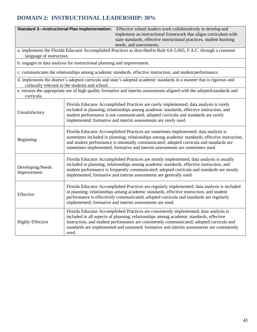### **DOMAIN 2: INSTRUCTIONAL LEADERSHIP: 30%**

|                                                                                                                                       | <b>Standard 3-Instructional Plan Implementation:</b><br>Effective school leaders work collaboratively to develop and<br>implement an instructional framework that aligns curriculum with<br>state standards, effective instructional practices, student learning<br>needs, and assessments.                                                                                           |  |  |  |
|---------------------------------------------------------------------------------------------------------------------------------------|---------------------------------------------------------------------------------------------------------------------------------------------------------------------------------------------------------------------------------------------------------------------------------------------------------------------------------------------------------------------------------------|--|--|--|
| language of instruction.                                                                                                              | a. implements the Florida Educator Accomplished Practices as described in Rule 6A-5.065, F.A.C. through a common                                                                                                                                                                                                                                                                      |  |  |  |
| b. engages in data analysis for instructional planning and improvement.                                                               |                                                                                                                                                                                                                                                                                                                                                                                       |  |  |  |
|                                                                                                                                       | c. communicates the relationships among academic standards, effective instruction, and student performance.                                                                                                                                                                                                                                                                           |  |  |  |
|                                                                                                                                       | d. implements the district's adopted curricula and state's adopted academic standards in a manner that is rigorous and<br>culturally relevant to the students and school.                                                                                                                                                                                                             |  |  |  |
| e. ensures the appropriate use of high quality formative and interim assessments aligned with the adopted standards and<br>curricula. |                                                                                                                                                                                                                                                                                                                                                                                       |  |  |  |
| Unsatisfactory                                                                                                                        | Florida Educator Accomplished Practices are rarely implemented; data analysis is rarely<br>included in planning; relationships among academic standards, effective instruction, and<br>student performance is not communicated; adopted curricula and standards are rarely<br>implemented; formative and interim assessments are rarely used.                                         |  |  |  |
| Beginning                                                                                                                             | Florida Educator Accomplished Practices are sometimes implemented; data analysis is<br>sometimes included in planning; relationships among academic standards, effective instruction,<br>and student performance is minimally communicated; adopted curricula and standards are<br>sometimes implemented; formative and interim assessments are sometimes used.                       |  |  |  |
| Developing/Needs<br>Improvement                                                                                                       | Florida Educator Accomplished Practices are mostly implemented; data analysis is usually<br>included in planning; relationships among academic standards, effective instruction, and<br>student performance is frequently communicated; adopted curricula and standards are mostly<br>implemented; formative and interim assessments are generally used.                              |  |  |  |
| Effective                                                                                                                             | Florida Educator Accomplished Practices are regularly implemented; data analysis is included<br>in planning; relationships among academic standards, effective instruction, and student<br>performance is effectively communicated; adopted curricula and standards are regularly<br>implemented; formative and interim assessments are used.                                         |  |  |  |
| <b>Highly Effective</b>                                                                                                               | Florida Educator Accomplished Practices are consistently implemented; data analysis is<br>included in all aspects of planning; relationships among academic standards, effective<br>instruction, and student performance are consistently communicated; adopted curricula and<br>standards are implemented and sustained; formative and interim assessments are consistently<br>used. |  |  |  |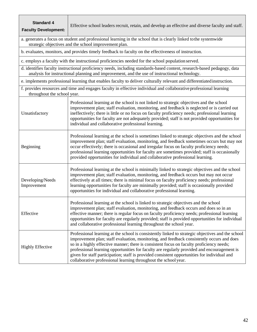| <b>Standard 4</b><br><b>Faculty Development:</b>                                                                                                                          | Effective school leaders recruit, retain, and develop an effective and diverse faculty and staff.                                                                                                                                                                                                                                                                                                                                                                                                                                                            |  |  |  |
|---------------------------------------------------------------------------------------------------------------------------------------------------------------------------|--------------------------------------------------------------------------------------------------------------------------------------------------------------------------------------------------------------------------------------------------------------------------------------------------------------------------------------------------------------------------------------------------------------------------------------------------------------------------------------------------------------------------------------------------------------|--|--|--|
| a. generates a focus on student and professional learning in the school that is clearly linked to the systemwide<br>strategic objectives and the school improvement plan. |                                                                                                                                                                                                                                                                                                                                                                                                                                                                                                                                                              |  |  |  |
|                                                                                                                                                                           | b. evaluates, monitors, and provides timely feedback to faculty on the effectiveness of instruction.                                                                                                                                                                                                                                                                                                                                                                                                                                                         |  |  |  |
|                                                                                                                                                                           | c. employs a faculty with the instructional proficiencies needed for the school population served.                                                                                                                                                                                                                                                                                                                                                                                                                                                           |  |  |  |
|                                                                                                                                                                           | d. identifies faculty instructional proficiency needs, including standards-based content, research-based pedagogy, data<br>analysis for instructional planning and improvement, and the use of instructional technology.                                                                                                                                                                                                                                                                                                                                     |  |  |  |
|                                                                                                                                                                           | e. implements professional learning that enables faculty to deliver culturally relevant and differentiated instruction.                                                                                                                                                                                                                                                                                                                                                                                                                                      |  |  |  |
| f. provides resources and time and engages faculty in effective individual and collaborative professional learning<br>throughout the school year.                         |                                                                                                                                                                                                                                                                                                                                                                                                                                                                                                                                                              |  |  |  |
| Unsatisfactory                                                                                                                                                            | Professional learning at the school is not linked to strategic objectives and the school<br>improvement plan; staff evaluation, monitoring, and feedback is neglected or is carried out<br>ineffectively; there is little or no focus on faculty proficiency needs; professional learning<br>opportunities for faculty are not adequately provided; staff is not provided opportunities for<br>individual and collaborative professional learning.                                                                                                           |  |  |  |
| Beginning                                                                                                                                                                 | Professional learning at the school is sometimes linked to strategic objectives and the school<br>improvement plan; staff evaluation, monitoring, and feedback sometimes occurs but may not<br>occur effectively; there is occasional and irregular focus on faculty proficiency needs;<br>professional learning opportunities for faculty are sometimes provided; staff is occasionally<br>provided opportunities for individual and collaborative professional learning.                                                                                   |  |  |  |
| Developing/Needs<br>Improvement                                                                                                                                           | Professional learning at the school is minimally linked to strategic objectives and the school<br>improvement plan; staff evaluation, monitoring, and feedback occurs but may not occur<br>effectively at all times; there is minimal focus on faculty proficiency needs; professional<br>learning opportunities for faculty are minimally provided; staff is occasionally provided<br>opportunities for individual and collaborative professional learning.                                                                                                 |  |  |  |
| Effective                                                                                                                                                                 | Professional learning at the school is linked to strategic objectives and the school<br>improvement plan; staff evaluation, monitoring, and feedback occurs and does so in an<br>effective manner; there is regular focus on faculty proficiency needs; professional learning<br>opportunities for faculty are regularly provided; staff is provided opportunities for individual<br>and collaborative professional learning throughout the school year.                                                                                                     |  |  |  |
| <b>Highly Effective</b>                                                                                                                                                   | Professional learning at the school is consistently linked to strategic objectives and the school<br>improvement plan; staff evaluation, monitoring, and feedback consistently occurs and does<br>so in a highly effective manner; there is consistent focus on faculty proficiency needs;<br>professional learning opportunities for faculty are regularly provided and encouragement is<br>given for staff participation; staff is provided consistent opportunities for individual and<br>collaborative professional learning throughout the school year. |  |  |  |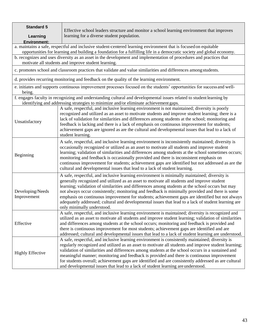| <b>Standard 5</b><br>Learning                                                                                                                                                                                                                                                                                                                                                                                                                                                                                                                                                                      | Effective school leaders structure and monitor a school learning environment that improves<br>learning for a diverse student population.                                                                                                                                                                                                                                                                                                                                                                                                                                                                                                 |  |  |  |
|----------------------------------------------------------------------------------------------------------------------------------------------------------------------------------------------------------------------------------------------------------------------------------------------------------------------------------------------------------------------------------------------------------------------------------------------------------------------------------------------------------------------------------------------------------------------------------------------------|------------------------------------------------------------------------------------------------------------------------------------------------------------------------------------------------------------------------------------------------------------------------------------------------------------------------------------------------------------------------------------------------------------------------------------------------------------------------------------------------------------------------------------------------------------------------------------------------------------------------------------------|--|--|--|
| <b>Environment:</b>                                                                                                                                                                                                                                                                                                                                                                                                                                                                                                                                                                                | a. maintains a safe, respectful and inclusive student-centered learning environment that is focused on equitable                                                                                                                                                                                                                                                                                                                                                                                                                                                                                                                         |  |  |  |
|                                                                                                                                                                                                                                                                                                                                                                                                                                                                                                                                                                                                    | opportunities for learning and building a foundation for a fulfilling life in a democratic society and global economy.                                                                                                                                                                                                                                                                                                                                                                                                                                                                                                                   |  |  |  |
|                                                                                                                                                                                                                                                                                                                                                                                                                                                                                                                                                                                                    | b. recognizes and uses diversity as an asset in the development and implementation of procedures and practices that<br>motivate all students and improve student learning.                                                                                                                                                                                                                                                                                                                                                                                                                                                               |  |  |  |
|                                                                                                                                                                                                                                                                                                                                                                                                                                                                                                                                                                                                    | c. promotes school and classroom practices that validate and value similarities and differences among students.                                                                                                                                                                                                                                                                                                                                                                                                                                                                                                                          |  |  |  |
|                                                                                                                                                                                                                                                                                                                                                                                                                                                                                                                                                                                                    | d. provides recurring monitoring and feedback on the quality of the learning environment.                                                                                                                                                                                                                                                                                                                                                                                                                                                                                                                                                |  |  |  |
| being.                                                                                                                                                                                                                                                                                                                                                                                                                                                                                                                                                                                             | e. initiates and supports continuous improvement processes focused on the students' opportunities for success and well-                                                                                                                                                                                                                                                                                                                                                                                                                                                                                                                  |  |  |  |
|                                                                                                                                                                                                                                                                                                                                                                                                                                                                                                                                                                                                    | f. engages faculty in recognizing and understanding cultural and developmental issues related to student learning by<br>identifying and addressing strategies to minimize and/or eliminate achievement gaps.                                                                                                                                                                                                                                                                                                                                                                                                                             |  |  |  |
| Unsatisfactory                                                                                                                                                                                                                                                                                                                                                                                                                                                                                                                                                                                     | A safe, respectful, and inclusive learning environment is not maintained; diversity is poorly<br>recognized and utilized as an asset to motivate students and improve student learning; there is a<br>lack of validation for similarities and differences among students at the school; monitoring and<br>feedback is lacking and there is a lack of emphasis on continuous improvement for students;<br>achievement gaps are ignored as are the cultural and developmental issues that lead to a lack of<br>student learning.                                                                                                           |  |  |  |
| A safe, respectful, and inclusive learning environment is inconsistently maintained; diversity is<br>occasionally recognized or utilized as an asset to motivate all students and improve student<br>learning; validation of similarities and differences among students at the school sometimes occurs;<br>Beginning<br>monitoring and feedback is occasionally provided and there is inconsistent emphasis on<br>continuous improvement for students; achievement gaps are identified but not addressed as are the<br>cultural and developmental issues that lead to a lack of student learning. |                                                                                                                                                                                                                                                                                                                                                                                                                                                                                                                                                                                                                                          |  |  |  |
| Developing/Needs<br>Improvement                                                                                                                                                                                                                                                                                                                                                                                                                                                                                                                                                                    | A safe, respectful, and inclusive learning environment is minimally maintained; diversity is<br>generally recognized and utilized as an asset to motivate all students and improve student<br>learning; validation of similarities and differences among students at the school occurs but may<br>not always occur consistently; monitoring and feedback is minimally provided and there is some<br>emphasis on continuous improvement for students; achievement gaps are identified but not always<br>adequately addressed; cultural and developmental issues that lead to a lack of student learning are<br>only minimally understood. |  |  |  |
| A safe, respectful, and inclusive learning environment is maintained; diversity is recognized and<br>utilized as an asset to motivate all students and improve student learning; validation of similarities<br>Effective<br>and differences among students at the school occurs; monitoring and feedback is provided and<br>there is continuous improvement for most students; achievement gaps are identified and are<br>addressed; cultural and developmental issues that lead to a lack of student learning are understood.                                                                     |                                                                                                                                                                                                                                                                                                                                                                                                                                                                                                                                                                                                                                          |  |  |  |
| <b>Highly Effective</b>                                                                                                                                                                                                                                                                                                                                                                                                                                                                                                                                                                            | A safe, respectful, and inclusive learning environment is consistently maintained; diversity is<br>regularly recognized and utilized as an asset to motivate all students and improve student learning;<br>validation of similarities and differences among students at the school occurs in a sustained and<br>meaningful manner; monitoring and feedback is provided and there is continuous improvement<br>for students overall; achievement gaps are identified and are consistently addressed as are cultural<br>and developmental issues that lead to a lack of student learning are understood.                                   |  |  |  |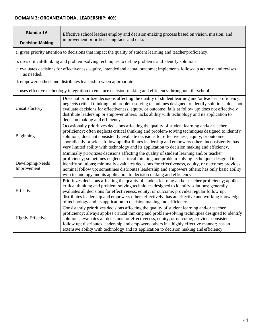### **DOMAIN 3: ORGANIZATIONAL LEADERSHIP: 40%**

| <b>Standard 6</b><br><b>Decision-Making</b>                                                                                                                                                                                                                                                                                                                                                                                                                                            | Effective school leaders employ and decision-making process based on vision, mission, and<br>improvement priorities using facts and data.                                                                                                                                                                                                                                                                                                                                                        |  |  |  |
|----------------------------------------------------------------------------------------------------------------------------------------------------------------------------------------------------------------------------------------------------------------------------------------------------------------------------------------------------------------------------------------------------------------------------------------------------------------------------------------|--------------------------------------------------------------------------------------------------------------------------------------------------------------------------------------------------------------------------------------------------------------------------------------------------------------------------------------------------------------------------------------------------------------------------------------------------------------------------------------------------|--|--|--|
|                                                                                                                                                                                                                                                                                                                                                                                                                                                                                        | a. gives priority attention to decisions that impact the quality of student learning and teacher proficiency.                                                                                                                                                                                                                                                                                                                                                                                    |  |  |  |
|                                                                                                                                                                                                                                                                                                                                                                                                                                                                                        | b. uses critical-thinking and problem-solving techniques to define problems and identify solutions.                                                                                                                                                                                                                                                                                                                                                                                              |  |  |  |
| as needed.                                                                                                                                                                                                                                                                                                                                                                                                                                                                             | c. evaluates decisions for effectiveness, equity, intended and actual outcome; implements follow-up actions; and revises                                                                                                                                                                                                                                                                                                                                                                         |  |  |  |
|                                                                                                                                                                                                                                                                                                                                                                                                                                                                                        | d. empowers others and distributes leadership when appropriate.                                                                                                                                                                                                                                                                                                                                                                                                                                  |  |  |  |
|                                                                                                                                                                                                                                                                                                                                                                                                                                                                                        | e. uses effective technology integration to enhance decision-making and efficiency throughout the school.                                                                                                                                                                                                                                                                                                                                                                                        |  |  |  |
| Unsatisfactory                                                                                                                                                                                                                                                                                                                                                                                                                                                                         | Does not prioritize decisions affecting the quality of student learning and/or teacher proficiency;<br>neglects critical thinking and problem-solving techniques designed to identify solutions; does not<br>evaluate decisions for effectiveness, equity, or outcome; fails at follow up; does not effectively<br>distribute leadership or empower others; lacks ability with technology and its application to<br>decision making and efficiency.                                              |  |  |  |
| Beginning                                                                                                                                                                                                                                                                                                                                                                                                                                                                              | Occasionally prioritizes decisions affecting the quality of student learning and/or teacher<br>proficiency; often neglects critical thinking and problem-solving techniques designed to identify<br>solutions; does not consistently evaluate decisions for effectiveness, equity, or outcome;<br>sporadically provides follow up; distributes leadership and empowers others inconsistently; has<br>very limited ability with technology and its application to decision making and efficiency. |  |  |  |
| Developing/Needs<br>Improvement                                                                                                                                                                                                                                                                                                                                                                                                                                                        | Minimally prioritizes decisions affecting the quality of student learning and/or teacher<br>proficiency; sometimes neglects critical thinking and problem-solving techniques designed to<br>identify solutions; minimally evaluates decisions for effectiveness, equity, or outcome; provides<br>nominal follow up; sometimes distributes leadership and empowers others; has only basic ability<br>with technology and its application to decision making and efficiency.                       |  |  |  |
| Prioritizes decisions affecting the quality of student learning and/or teacher proficiency; applies<br>critical thinking and problem-solving techniques designed to identify solutions; generally<br>Effective<br>evaluates all decisions for effectiveness, equity, or outcome; provides regular follow up;<br>distributes leadership and empowers others effectively; has an effective and working knowledge<br>of technology and its application to decision making and efficiency. |                                                                                                                                                                                                                                                                                                                                                                                                                                                                                                  |  |  |  |
| <b>Highly Effective</b>                                                                                                                                                                                                                                                                                                                                                                                                                                                                | Consistently prioritizes decisions affecting the quality of student learning and/or teacher<br>proficiency; always applies critical thinking and problem-solving techniques designed to identify<br>solutions; evaluates all decisions for effectiveness, equity, or outcome; provides consistent<br>follow up; distributes leadership and empowers others in a highly effective manner; has an<br>extensive ability with technology and its application to decision making and efficiency.      |  |  |  |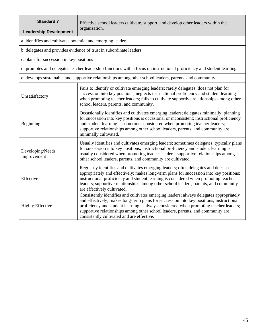| <b>Standard 7</b><br><b>Leadership Development</b>                                                                                                                                                                                                                                                                                                                                                      | Effective school leaders cultivate, support, and develop other leaders within the<br>organization.                                                                                                                                                                                                                                                                                                           |  |  |  |
|---------------------------------------------------------------------------------------------------------------------------------------------------------------------------------------------------------------------------------------------------------------------------------------------------------------------------------------------------------------------------------------------------------|--------------------------------------------------------------------------------------------------------------------------------------------------------------------------------------------------------------------------------------------------------------------------------------------------------------------------------------------------------------------------------------------------------------|--|--|--|
| a. identifies and cultivates potential and emerging leaders                                                                                                                                                                                                                                                                                                                                             |                                                                                                                                                                                                                                                                                                                                                                                                              |  |  |  |
|                                                                                                                                                                                                                                                                                                                                                                                                         | b. delegates and provides evidence of trust in subordinate leaders                                                                                                                                                                                                                                                                                                                                           |  |  |  |
| c. plans for succession in key positions                                                                                                                                                                                                                                                                                                                                                                |                                                                                                                                                                                                                                                                                                                                                                                                              |  |  |  |
| d. promotes and delegates teacher leadership functions with a focus on instructional proficiency and student learning                                                                                                                                                                                                                                                                                   |                                                                                                                                                                                                                                                                                                                                                                                                              |  |  |  |
| e. develops sustainable and supportive relationships among other school leaders, parents, and community                                                                                                                                                                                                                                                                                                 |                                                                                                                                                                                                                                                                                                                                                                                                              |  |  |  |
| Fails to identify or cultivate emerging leaders; rarely delegates; does not plan for<br>succession into key positions; neglects instructional proficiency and student learning<br>Unsatisfactory<br>when promoting teacher leaders; fails to cultivate supportive relationships among other<br>school leaders, parents, and community.                                                                  |                                                                                                                                                                                                                                                                                                                                                                                                              |  |  |  |
| Beginning                                                                                                                                                                                                                                                                                                                                                                                               | Occasionally identifies and cultivates emerging leaders; delegates minimally; planning<br>for succession into key positions is occasional or inconsistent; instructional proficiency<br>and student learning is sometimes considered when promoting teacher leaders;<br>supportive relationships among other school leaders, parents, and community are<br>minimally cultivated.                             |  |  |  |
| Usually identifies and cultivates emerging leaders; sometimes delegates; typically plans<br>for succession into key positions; instructional proficiency and student learning is<br>Developing/Needs<br>usually considered when promoting teacher leaders; supportive relationships among<br>Improvement<br>other school leaders, parents, and community are cultivated.                                |                                                                                                                                                                                                                                                                                                                                                                                                              |  |  |  |
| Regularly identifies and cultivates emerging leaders; often delegates and does so<br>appropriately and effectively; makes long-term plans for succession into key positions;<br>instructional proficiency and student learning is considered when promoting teacher<br>Effective<br>leaders; supportive relationships among other school leaders, parents, and community<br>are effectively cultivated. |                                                                                                                                                                                                                                                                                                                                                                                                              |  |  |  |
| <b>Highly Effective</b>                                                                                                                                                                                                                                                                                                                                                                                 | Consistently identifies and cultivates emerging leaders; always delegates appropriately<br>and effectively; makes long-term plans for succession into key positions; instructional<br>proficiency and student learning is always considered when promoting teacher leaders;<br>supportive relationships among other school leaders, parents, and community are<br>consistently cultivated and are effective. |  |  |  |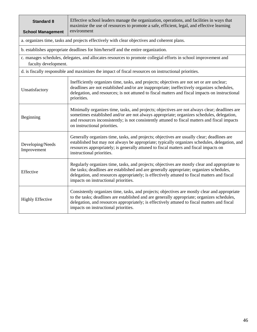| <b>Standard 8</b><br><b>School Management</b>                                                                                                                                                                                                                                                                                                                   | Effective school leaders manage the organization, operations, and facilities in ways that<br>maximize the use of resources to promote a safe, efficient, legal, and effective learning<br>environment                                                                                                                             |  |  |  |
|-----------------------------------------------------------------------------------------------------------------------------------------------------------------------------------------------------------------------------------------------------------------------------------------------------------------------------------------------------------------|-----------------------------------------------------------------------------------------------------------------------------------------------------------------------------------------------------------------------------------------------------------------------------------------------------------------------------------|--|--|--|
|                                                                                                                                                                                                                                                                                                                                                                 | a. organizes time, tasks and projects effectively with clear objectives and coherent plans.                                                                                                                                                                                                                                       |  |  |  |
| b. establishes appropriate deadlines for him/herself and the entire organization.                                                                                                                                                                                                                                                                               |                                                                                                                                                                                                                                                                                                                                   |  |  |  |
| faculty development.                                                                                                                                                                                                                                                                                                                                            | c. manages schedules, delegates, and allocates resources to promote collegial efforts in school improvement and                                                                                                                                                                                                                   |  |  |  |
|                                                                                                                                                                                                                                                                                                                                                                 | d. is fiscally responsible and maximizes the impact of fiscal resources on instructional priorities.                                                                                                                                                                                                                              |  |  |  |
| Unsatisfactory                                                                                                                                                                                                                                                                                                                                                  | Inefficiently organizes time, tasks, and projects; objectives are not set or are unclear;<br>deadlines are not established and/or are inappropriate; ineffectively organizes schedules,<br>delegation, and resources; is not attuned to fiscal matters and fiscal impacts on instructional<br>priorities.                         |  |  |  |
| Beginning                                                                                                                                                                                                                                                                                                                                                       | Minimally organizes time, tasks, and projects; objectives are not always clear; deadlines are<br>sometimes established and/or are not always appropriate; organizes schedules, delegation,<br>and resources inconsistently; is not consistently attuned to fiscal matters and fiscal impacts<br>on instructional priorities.      |  |  |  |
| Developing/Needs<br>Improvement                                                                                                                                                                                                                                                                                                                                 | Generally organizes time, tasks, and projects; objectives are usually clear; deadlines are<br>established but may not always be appropriate; typically organizes schedules, delegation, and<br>resources appropriately; is generally attuned to fiscal matters and fiscal impacts on<br>instructional priorities.                 |  |  |  |
| Effective                                                                                                                                                                                                                                                                                                                                                       | Regularly organizes time, tasks, and projects; objectives are mostly clear and appropriate to<br>the tasks; deadlines are established and are generally appropriate; organizes schedules,<br>delegation, and resources appropriately; is effectively attuned to fiscal matters and fiscal<br>impacts on instructional priorities. |  |  |  |
| Consistently organizes time, tasks, and projects; objectives are mostly clear and appropriate<br>to the tasks; deadlines are established and are generally appropriate; organizes schedules,<br><b>Highly Effective</b><br>delegation, and resources appropriately; is effectively attuned to fiscal matters and fiscal<br>impacts on instructional priorities. |                                                                                                                                                                                                                                                                                                                                   |  |  |  |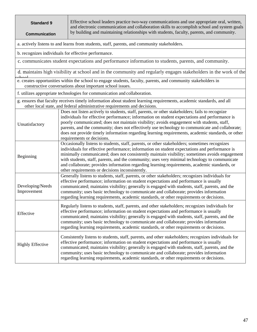| <b>Standard 9</b><br><b>Communication</b> |                                                                                                                                                                             | Effective school leaders practice two-way communications and use appropriate oral, written,<br>and electronic communication and collaboration skills to accomplish school and system goals<br>by building and maintaining relationships with students, faculty, parents, and community.                                                                                                                                                                                                                                                               |  |  |  |
|-------------------------------------------|-----------------------------------------------------------------------------------------------------------------------------------------------------------------------------|-------------------------------------------------------------------------------------------------------------------------------------------------------------------------------------------------------------------------------------------------------------------------------------------------------------------------------------------------------------------------------------------------------------------------------------------------------------------------------------------------------------------------------------------------------|--|--|--|
|                                           |                                                                                                                                                                             | a. actively listens to and learns from students, staff, parents, and community stakeholders.                                                                                                                                                                                                                                                                                                                                                                                                                                                          |  |  |  |
|                                           |                                                                                                                                                                             | b. recognizes individuals for effective performance.                                                                                                                                                                                                                                                                                                                                                                                                                                                                                                  |  |  |  |
|                                           | c. communicates student expectations and performance information to students, parents, and community.                                                                       |                                                                                                                                                                                                                                                                                                                                                                                                                                                                                                                                                       |  |  |  |
|                                           |                                                                                                                                                                             | d. maintains high visibility at school and in the community and regularly engages stakeholders in the work of the                                                                                                                                                                                                                                                                                                                                                                                                                                     |  |  |  |
|                                           | e. creates opportunities within the school to engage students, faculty, parents, and community stakeholders in<br>constructive conversations about important school issues. |                                                                                                                                                                                                                                                                                                                                                                                                                                                                                                                                                       |  |  |  |
|                                           | f. utilizes appropriate technologies for communication and collaboration.                                                                                                   |                                                                                                                                                                                                                                                                                                                                                                                                                                                                                                                                                       |  |  |  |
|                                           |                                                                                                                                                                             | g. ensures that faculty receives timely information about student learning requirements, academic standards, and all<br>other local state, and federal administrative requirements and decisions.                                                                                                                                                                                                                                                                                                                                                     |  |  |  |
| Unsatisfactory                            |                                                                                                                                                                             | Does not listen actively to students, staff, parents, or other stakeholders; fails to recognize<br>individuals for effective performance; information on student expectations and performance is<br>poorly communicated; does not maintain visibility; avoids engagement with students, staff,<br>parents, and the community; does not effectively use technology to communicate and collaborate;<br>does not provide timely information regarding learning requirements, academic standards, or other<br>requirements or decisions.                  |  |  |  |
| Beginning                                 |                                                                                                                                                                             | Occasionally listens to students, staff, parents, or other stakeholders; sometimes recognizes<br>individuals for effective performance; information on student expectations and performance is<br>minimally communicated; does not consistently maintain visibility; sometimes avoids engagement<br>with students, staff, parents, and the community; uses very minimal technology to communicate<br>and collaborate; provides information regarding learning requirements, academic standards, or<br>other requirements or decisions inconsistently. |  |  |  |
| Developing/Needs<br>Improvement           |                                                                                                                                                                             | Generally listens to students, staff, parents, or other stakeholders; recognizes individuals for<br>effective performance; information on student expectations and performance is usually<br>communicated; maintains visibility; generally is engaged with students, staff, parents, and the<br>community; uses basic technology to communicate and collaborate; provides information<br>regarding learning requirements, academic standards, or other requirements or decisions.                                                                     |  |  |  |
| Effective                                 |                                                                                                                                                                             | Regularly listens to students, staff, parents, and other stakeholders; recognizes individuals for<br>effective performance; information on student expectations and performance is usually<br>communicated; maintains visibility; generally is engaged with students, staff, parents, and the<br>community; uses basic technology to communicate and collaborate; provides information<br>regarding learning requirements, academic standards, or other requirements or decisions.                                                                    |  |  |  |
| <b>Highly Effective</b>                   |                                                                                                                                                                             | Consistently listens to students, staff, parents, and other stakeholders; recognizes individuals for<br>effective performance; information on student expectations and performance is usually<br>communicated; maintains visibility; generally is engaged with students, staff, parents, and the<br>community; uses basic technology to communicate and collaborate; provides information<br>regarding learning requirements, academic standards, or other requirements or decisions.                                                                 |  |  |  |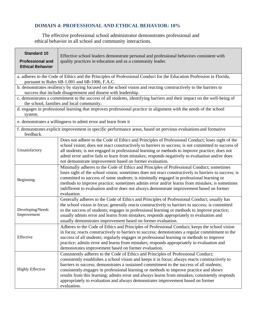### **DOMAIN 4: PROFESSIONAL AND ETHICAL BEHAVIOR: 10%**

The effective professional school administrator demonstrates professional and ethical behavior in all school and community interactions.

| <b>Standard 10</b><br><b>Professional and</b><br><b>Ethical Behavior</b>                                                                                                                                                                                                                                                                                                                                                                                                                                              | Effective school leaders demonstrate personal and professional behaviors consistent with<br>quality practices in education and as a community leader.                                                                                                                                                                                                                                                                                                                                                                                                                            |  |  |  |  |
|-----------------------------------------------------------------------------------------------------------------------------------------------------------------------------------------------------------------------------------------------------------------------------------------------------------------------------------------------------------------------------------------------------------------------------------------------------------------------------------------------------------------------|----------------------------------------------------------------------------------------------------------------------------------------------------------------------------------------------------------------------------------------------------------------------------------------------------------------------------------------------------------------------------------------------------------------------------------------------------------------------------------------------------------------------------------------------------------------------------------|--|--|--|--|
|                                                                                                                                                                                                                                                                                                                                                                                                                                                                                                                       | a. adheres to the Code of Ethics and the Principles of Professional Conduct for the Education Profession in Florida,<br>pursuant to Rules 6B-1.001 and 6B-1006, F.A.C.                                                                                                                                                                                                                                                                                                                                                                                                           |  |  |  |  |
|                                                                                                                                                                                                                                                                                                                                                                                                                                                                                                                       | b. demonstrates resiliency by staying focused on the school vision and reacting constructively to the barriers to<br>success that include disagreement and dissent with leadership.                                                                                                                                                                                                                                                                                                                                                                                              |  |  |  |  |
|                                                                                                                                                                                                                                                                                                                                                                                                                                                                                                                       | c. demonstrates a commitment to the success of all students, identifying barriers and their impact on the well-being of<br>the school, families and local community.                                                                                                                                                                                                                                                                                                                                                                                                             |  |  |  |  |
| system.                                                                                                                                                                                                                                                                                                                                                                                                                                                                                                               | d. engages in professional learning that improves professional practice in alignment with the needs of the school                                                                                                                                                                                                                                                                                                                                                                                                                                                                |  |  |  |  |
|                                                                                                                                                                                                                                                                                                                                                                                                                                                                                                                       | e. demonstrates a willingness to admit error and learn from it                                                                                                                                                                                                                                                                                                                                                                                                                                                                                                                   |  |  |  |  |
| f. demonstrates explicit improvement in specific performance areas, based on previous evaluations and formative<br>feedback.                                                                                                                                                                                                                                                                                                                                                                                          |                                                                                                                                                                                                                                                                                                                                                                                                                                                                                                                                                                                  |  |  |  |  |
| Unsatisfactory                                                                                                                                                                                                                                                                                                                                                                                                                                                                                                        | Does not adhere to the Code of Ethics and Principles of Professional Conduct; loses sight of the<br>school vision; does not react constructively to barriers to success; is not committed to success of<br>all students; is not engaged in professional learning or methods to improve practice; does not<br>admit error and/or fails to learn from mistakes; responds negatively to evaluation and/or does<br>not demonstrate improvement based on former evaluation.                                                                                                           |  |  |  |  |
| Minimally adheres to the Code of Ethics and Principles of Professional Conduct; sometimes<br>loses sight of the school vision; sometimes does not react constructively to barriers to success; is<br>committed to success of some students; is minimally engaged in professional learning or<br>Beginning<br>methods to improve practice; sometimes admits error and/or learns from mistakes; is sometimes<br>indifferent to evaluation and/or does not always demonstrate improvement based on former<br>evaluation. |                                                                                                                                                                                                                                                                                                                                                                                                                                                                                                                                                                                  |  |  |  |  |
| Developing/Needs<br>Improvement                                                                                                                                                                                                                                                                                                                                                                                                                                                                                       | Generally adheres to the Code of Ethics and Principles of Professional Conduct; usually has<br>the school vision in focus; generally reacts constructively to barriers to success; is committed<br>to the success of students; engages in professional learning or methods to improve practice;<br>usually admits error and learns from mistakes; responds appropriately to evaluation and<br>usually demonstrates improvement based on former evaluation.                                                                                                                       |  |  |  |  |
| Effective                                                                                                                                                                                                                                                                                                                                                                                                                                                                                                             | Adheres to the Code of Ethics and Principles of Professional Conduct; keeps the school vision<br>in focus; reacts constructively to barriers to success; demonstrates a regular commitment to the<br>success of all students; regularly engages in professional learning or methods to improve<br>practice; admits error and learns from mistakes; responds appropriately to evaluation and<br>demonstrates improvement based on former evaluation.                                                                                                                              |  |  |  |  |
| <b>Highly Effective</b>                                                                                                                                                                                                                                                                                                                                                                                                                                                                                               | Consistently adheres to the Code of Ethics and Principles of Professional Conduct;<br>consistently establishes a school vision and keeps it in focus; always reacts constructively to<br>barriers to success; demonstrates a sustained commitment to the success of all students;<br>consistently engages in professional learning or methods to improve practice and shows<br>results from this learning; admits error and always learns from mistakes; consistently responds<br>appropriately to evaluation and always demonstrates improvement based on former<br>evaluation. |  |  |  |  |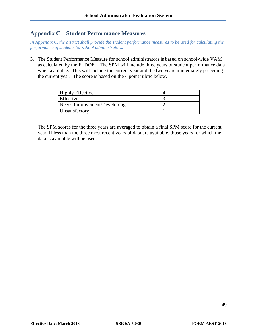### **Appendix C – Student Performance Measures**

*In Appendix C, the district shall provide the student performance measures to be used for calculating the performance of students for school administrators.* 

3. The Student Performance Measure for school administrators is based on school-wide VAM as calculated by the FLDOE. The SPM will include three years of student performance data when available. This will include the current year and the two years immediately preceding the current year. The score is based on the 4 point rubric below.

| <b>Highly Effective</b>      |  |
|------------------------------|--|
| Effective                    |  |
| Needs Improvement/Developing |  |
| Unsatisfactory               |  |

The SPM scores for the three years are averaged to obtain a final SPM score for the current year. If less than the three most recent years of data are available, those years for which the data is available will be used.